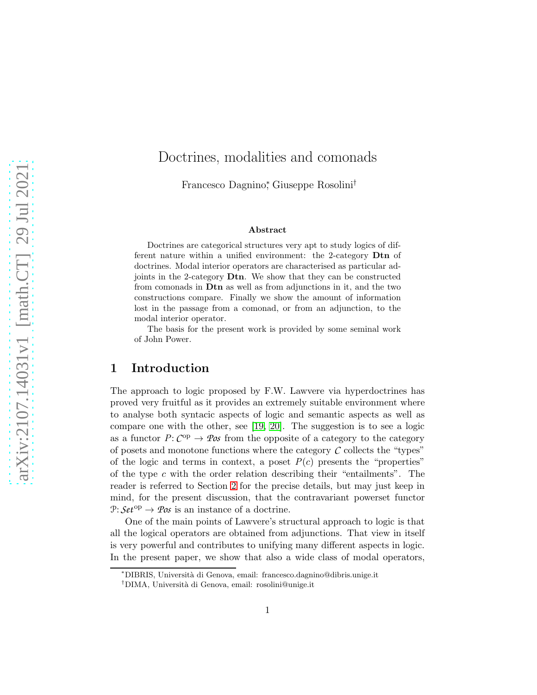# Doctrines, modalities and comonads

Francesco Dagnino<sup>∗</sup> , Giuseppe Rosolini†

#### Abstract

Doctrines are categorical structures very apt to study logics of different nature within a unified environment: the 2-category Dtn of doctrines. Modal interior operators are characterised as particular adjoints in the 2-category Dtn. We show that they can be constructed from comonads in Dtn as well as from adjunctions in it, and the two constructions compare. Finally we show the amount of information lost in the passage from a comonad, or from an adjunction, to the modal interior operator.

The basis for the present work is provided by some seminal work of John Power.

## 1 Introduction

The approach to logic proposed by F.W. Lawvere via hyperdoctrines has proved very fruitful as it provides an extremely suitable environment where to analyse both syntacic aspects of logic and semantic aspects as well as compare one with the other, see [\[19,](#page-37-0) [20\]](#page-37-1). The suggestion is to see a logic as a functor  $P: C^{op} \to \mathcal{P}os$  from the opposite of a category to the category of posets and monotone functions where the category  $\mathcal C$  collects the "types" of the logic and terms in context, a poset  $P(c)$  presents the "properties" of the type  $c$  with the order relation describing their "entailments". The reader is referred to Section [2](#page-2-0) for the precise details, but may just keep in mind, for the present discussion, that the contravariant powerset functor  $\mathcal{P}: \mathcal{S}et^{\mathrm{op}} \to \mathcal{P}os$  is an instance of a doctrine.

One of the main points of Lawvere's structural approach to logic is that all the logical operators are obtained from adjunctions. That view in itself is very powerful and contributes to unifying many different aspects in logic. In the present paper, we show that also a wide class of modal operators,

<sup>∗</sup>DIBRIS, Universit`a di Genova, email: francesco.dagnino@dibris.unige.it

<sup>†</sup>DIMA, Universit`a di Genova, email: rosolini@unige.it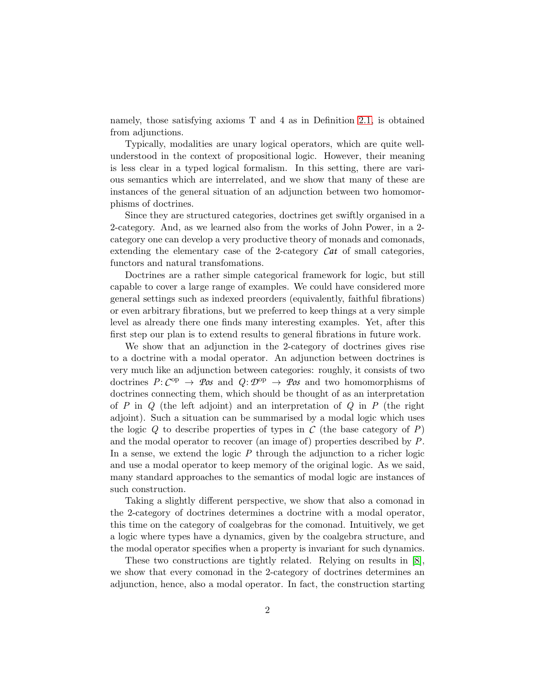namely, those satisfying axioms T and 4 as in Definition [2.1,](#page-3-0) is obtained from adjunctions.

Typically, modalities are unary logical operators, which are quite wellunderstood in the context of propositional logic. However, their meaning is less clear in a typed logical formalism. In this setting, there are various semantics which are interrelated, and we show that many of these are instances of the general situation of an adjunction between two homomorphisms of doctrines.

Since they are structured categories, doctrines get swiftly organised in a 2-category. And, as we learned also from the works of John Power, in a 2 category one can develop a very productive theory of monads and comonads, extending the elementary case of the 2-category *Cat* of small categories, functors and natural transfomations.

Doctrines are a rather simple categorical framework for logic, but still capable to cover a large range of examples. We could have considered more general settings such as indexed preorders (equivalently, faithful fibrations) or even arbitrary fibrations, but we preferred to keep things at a very simple level as already there one finds many interesting examples. Yet, after this first step our plan is to extend results to general fibrations in future work.

We show that an adjunction in the 2-category of doctrines gives rise to a doctrine with a modal operator. An adjunction between doctrines is very much like an adjunction between categories: roughly, it consists of two doctrines  $P: C^{op} \to \mathcal{P}$ os and  $Q: \mathcal{D}^{op} \to \mathcal{P}$ os and two homomorphisms of doctrines connecting them, which should be thought of as an interpretation of *P* in *Q* (the left adjoint) and an interpretation of *Q* in *P* (the right adjoint). Such a situation can be summarised by a modal logic which uses the logic  $Q$  to describe properties of types in  $C$  (the base category of  $P$ ) and the modal operator to recover (an image of) properties described by *P*. In a sense, we extend the logic *P* through the adjunction to a richer logic and use a modal operator to keep memory of the original logic. As we said, many standard approaches to the semantics of modal logic are instances of such construction.

Taking a slightly different perspective, we show that also a comonad in the 2-category of doctrines determines a doctrine with a modal operator, this time on the category of coalgebras for the comonad. Intuitively, we get a logic where types have a dynamics, given by the coalgebra structure, and the modal operator specifies when a property is invariant for such dynamics.

These two constructions are tightly related. Relying on results in [\[8\]](#page-36-0), we show that every comonad in the 2-category of doctrines determines an adjunction, hence, also a modal operator. In fact, the construction starting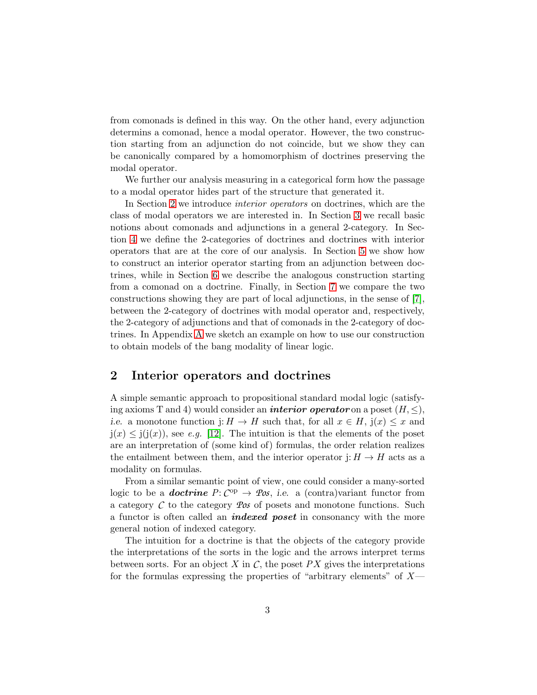from comonads is defined in this way. On the other hand, every adjunction determins a comonad, hence a modal operator. However, the two construction starting from an adjunction do not coincide, but we show they can be canonically compared by a homomorphism of doctrines preserving the modal operator.

We further our analysis measuring in a categorical form how the passage to a modal operator hides part of the structure that generated it.

In Section [2](#page-2-0) we introduce *interior operators* on doctrines, which are the class of modal operators we are interested in. In Section [3](#page-5-0) we recall basic notions about comonads and adjunctions in a general 2-category. In Section [4](#page-8-0) we define the 2-categories of doctrines and doctrines with interior operators that are at the core of our analysis. In Section [5](#page-10-0) we show how to construct an interior operator starting from an adjunction between doctrines, while in Section [6](#page-21-0) we describe the analogous construction starting from a comonad on a doctrine. Finally, in Section [7](#page-27-0) we compare the two constructions showing they are part of local adjunctions, in the sense of [\[7\]](#page-36-1), between the 2-category of doctrines with modal operator and, respectively, the 2-category of adjunctions and that of comonads in the 2-category of doctrines. In Appendix [A](#page-38-0) we sketch an example on how to use our construction to obtain models of the bang modality of linear logic.

### <span id="page-2-0"></span>2 Interior operators and doctrines

A simple semantic approach to propositional standard modal logic (satisfying axioms T and 4) would consider an *interior operator* on a poset  $(H, \leq),$ *i.e.* a monotone function j:  $H \to H$  such that, for all  $x \in H$ ,  $j(x) \leq x$  and  $j(x) \leq j(j(x))$ , see *e.g.* [\[12\]](#page-36-2). The intuition is that the elements of the poset are an interpretation of (some kind of) formulas, the order relation realizes the entailment between them, and the interior operator j:  $H \to H$  acts as a modality on formulas.

From a similar semantic point of view, one could consider a many-sorted logic to be a **doctrine**  $P: C^{op} \to \mathcal{Pos}$ , i.e. a (contra)variant functor from a category *C* to the category *Pos* of posets and monotone functions. Such a functor is often called an *indexed poset* in consonancy with the more general notion of indexed category.

The intuition for a doctrine is that the objects of the category provide the interpretations of the sorts in the logic and the arrows interpret terms between sorts. For an object  $X$  in  $C$ , the poset  $PX$  gives the interpretations for the formulas expressing the properties of "arbitrary elements" of  $X$ —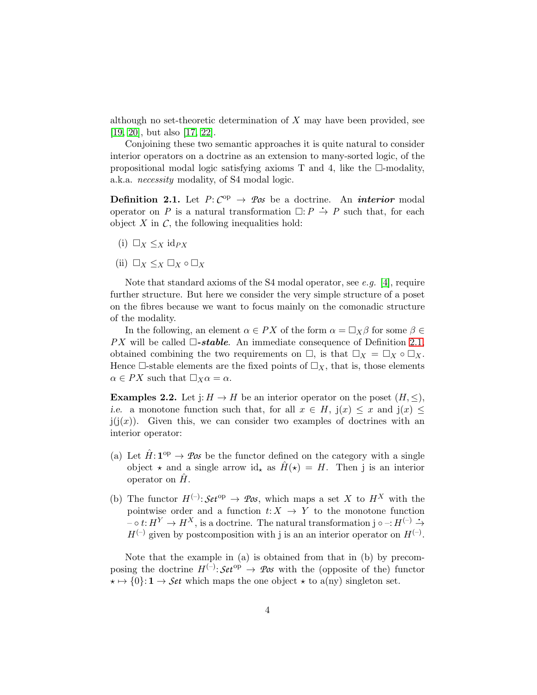although no set-theoretic determination of  $X$  may have been provided, see [\[19,](#page-37-0) [20\]](#page-37-1), but also [\[17,](#page-37-2) [22\]](#page-37-3).

Conjoining these two semantic approaches it is quite natural to consider interior operators on a doctrine as an extension to many-sorted logic, of the propositional modal logic satisfying axioms  $T$  and 4, like the  $\Box$ -modality, a.k.a. *necessity* modality, of S4 modal logic.

<span id="page-3-0"></span>**Definition 2.1.** Let  $P: C^{op} \to \mathit{Pos}$  be a doctrine. An *interior* modal operator on *P* is a natural transformation  $\Box: P \rightarrow P$  such that, for each object  $X$  in  $\mathcal{C}$ , the following inequalities hold:

- <span id="page-3-3"></span><span id="page-3-2"></span>(i)  $\Box_X \leq_X \mathrm{id}_{PX}$
- (ii)  $\Box_X \leq_X \Box_X \circ \Box_X$

Note that standard axioms of the S4 modal operator, see *e.g.* [\[4\]](#page-36-3), require further structure. But here we consider the very simple structure of a poset on the fibres because we want to focus mainly on the comonadic structure of the modality.

In the following, an element  $\alpha \in PX$  of the form  $\alpha = \Box_X \beta$  for some  $\beta \in$ *PX* will be called  $\Box$ -stable. An immediate consequence of Definition [2.1,](#page-3-0) obtained combining the two requirements on  $\Box$ , is that  $\Box_X = \Box_X \circ \Box_X$ . Hence  $\Box$ -stable elements are the fixed points of  $\Box_X$ , that is, those elements  $\alpha \in PX$  such that  $\Box_X \alpha = \alpha$ .

<span id="page-3-1"></span>**Examples 2.2.** Let  $i: H \to H$  be an interior operator on the poset  $(H, \leq),$ i.e. a monotone function such that, for all  $x \in H$ ,  $j(x) \leq x$  and  $j(x) \leq$  $j(j(x))$ . Given this, we can consider two examples of doctrines with an interior operator:

- (a) Let  $\hat{H}$ :  $\mathbf{1}^{\text{op}} \to \mathcal{P}\omega s$  be the functor defined on the category with a single object  $\star$  and a single arrow id<sub> $\star$ </sub> as  $\hat{H}(\star) = H$ . Then j is an interior operator on  $H$ .
- (b) The functor  $H^{(-)}$ :  $Set^{op} \rightarrow \mathcal{P}os$ , which maps a set X to  $H^X$  with the pointwise order and a function  $t: X \rightarrow Y$  to the monotone function  $\bar{f}$  –  $\circ t: H^Y \to H^X$ , is a doctrine. The natural transformation j  $\circ$  –:  $H^{(-)} \to$  $H^{(-)}$  given by postcomposition with j is an an interior operator on  $H^{(-)}$ .

Note that the example in (a) is obtained from that in (b) by precomposing the doctrine  $H^{(-)}$ :  $\mathcal{S}et^{op} \to \mathcal{P}os$  with the (opposite of the) functor  $\star \mapsto \{0\} : \mathbf{1} \to \mathcal{S}et$  which maps the one object  $\star$  to a(ny) singleton set.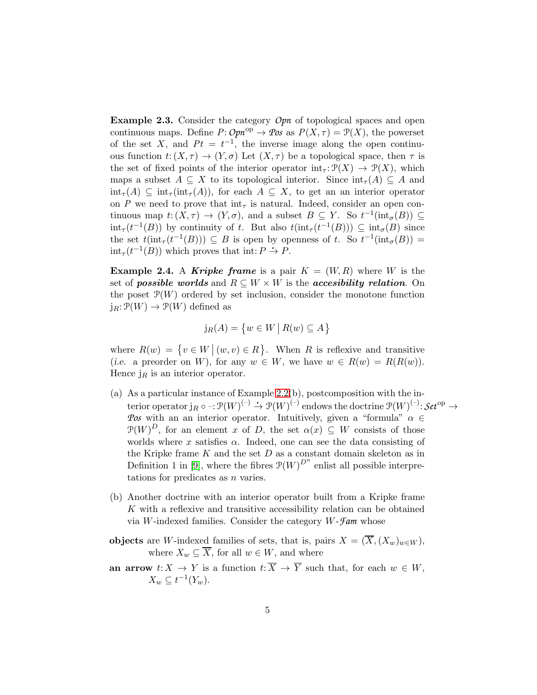<span id="page-4-0"></span>**Example 2.3.** Consider the category *Opn* of topological spaces and open continuous maps. Define  $P: \mathcal{O}pn^{op} \to \mathcal{P}os$  as  $P(X, \tau) = \mathcal{P}(X)$ , the powerset of the set X, and  $Pt = t^{-1}$ , the inverse image along the open continuous function  $t: (X, \tau) \to (Y, \sigma)$  Let  $(X, \tau)$  be a topological space, then  $\tau$  is the set of fixed points of the interior operator  $int_{\tau} : \mathcal{P}(X) \to \mathcal{P}(X)$ , which maps a subset  $A \subseteq X$  to its topological interior. Since  $\text{int}_{\tau}(A) \subseteq A$  and  $\text{int}_{\tau}(A) \subseteq \text{int}_{\tau}(\text{int}_{\tau}(A)),$  for each  $A \subseteq X$ , to get an an interior operator on *P* we need to prove that  $int_{\tau}$  is natural. Indeed, consider an open continuous map  $t: (X, \tau) \to (Y, \sigma)$ , and a subset  $B \subseteq Y$ . So  $t^{-1}(\text{int}_{\sigma}(B)) \subseteq$  $\text{int}_{\tau}(t^{-1}(B))$  by continuity of t. But also  $t(\text{int}_{\tau}(t^{-1}(B))) \subseteq \text{int}_{\sigma}(B)$  since the set  $t(\text{int}_{\tau}(t^{-1}(B))) \subseteq B$  is open by openness of t. So  $t^{-1}(\text{int}_{\sigma}(B)) =$ int<sub> $\tau$ </sub> $(t^{-1}(B))$  which proves that int:  $P \rightarrow P$ .

<span id="page-4-1"></span>**Example 2.4.** A Kripke frame is a pair  $K = (W, R)$  where W is the set of **possible worlds** and  $R \subseteq W \times W$  is the **accesibility relation**. On the poset  $\mathcal{P}(W)$  ordered by set inclusion, consider the monotone function  $j_R: \mathcal{P}(W) \to \mathcal{P}(W)$  defined as

$$
j_R(A) = \{ w \in W \mid R(w) \subseteq A \}
$$

where  $R(w) = \{v \in W \mid (w, v) \in R\}$ . When R is reflexive and transitive (i.e. a preorder on W), for any  $w \in W$ , we have  $w \in R(w) = R(R(w))$ . Hence  $j_R$  is an interior operator.

- (a) As a particular instance of Example [2.2\(](#page-3-1)b), postcomposition with the interior operator  $j_R \circ -:\mathcal{P}(W)^{(-)} \to \mathcal{P}(W)^{(-)}$  endows the doctrine  $\mathcal{P}(W)^{(-)}$ :  $\mathcal{S}et^{op} \to$ *Pos* with an an interior operator. Intuitively, given a "formula"  $\alpha \in$  $\mathcal{P}(W)^D$ , for an element x of D, the set  $\alpha(x) \subseteq W$  consists of those worlds where x satisfies  $\alpha$ . Indeed, one can see the data consisting of the Kripke frame  $K$  and the set  $D$  as a constant domain skeleton as in Definition 1 in [\[9\]](#page-36-4), where the fibres  $\mathcal{P}(W)^{D^n}$  enlist all possible interpretations for predicates as  $n$  varies.
- (b) Another doctrine with an interior operator built from a Kripke frame K with a reflexive and transitive accessibility relation can be obtained via W-indexed families. Consider the category W-*Fam* whose
- objects are W-indexed families of sets, that is, pairs  $X = (\overline{X}, (X_w)_{w \in W})$ , where  $X_w \subseteq \overline{X}$ , for all  $w \in W$ , and where
- an arrow  $t: X \to Y$  is a function  $t: \overline{X} \to \overline{Y}$  such that, for each  $w \in W$ ,  $X_w \subseteq t^{-1}(Y_w).$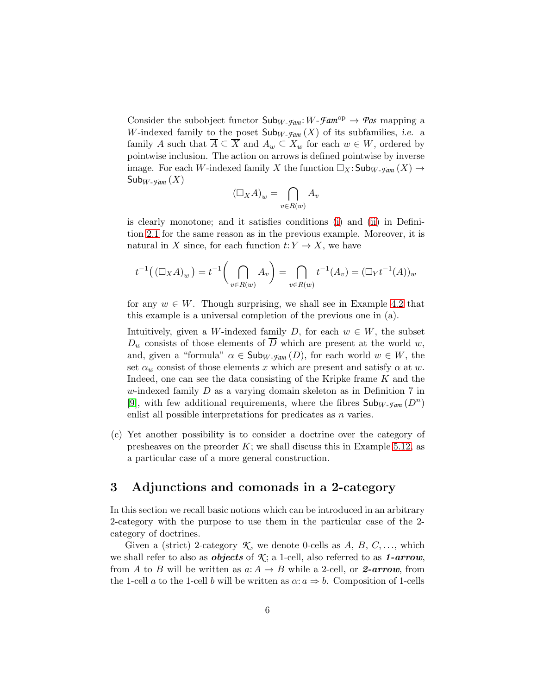Consider the subobject functor  $\mathsf{Sub}_{W-\mathcal{F}am}: W-\mathcal{F}am^{\text{op}} \to \mathcal{P}os$  mapping a W-indexed family to the poset  $\mathsf{Sub}_{W\text{-}\mathcal{F}\text{-}\mathcal{F}\text{-}\mathcal{F}}(X)$  of its subfamilies, *i.e.* a family A such that  $\overline{A} \subseteq \overline{X}$  and  $A_w \subseteq X_w$  for each  $w \in W$ , ordered by pointwise inclusion. The action on arrows is defined pointwise by inverse image. For each W-indexed family X the function  $\Box_X$ : Sub<sub>W-Fam</sub>  $(X) \rightarrow$  $\mathsf{Sub}_{W\text{-}\mathcal{F}\text{\it am}}(X)$ 

$$
(\Box_X A)_w = \bigcap_{v \in R(w)} A_v
$$

is clearly monotone; and it satisfies conditions [\(i\)](#page-3-2) and [\(ii\)](#page-3-3) in Definition [2.1](#page-3-0) for the same reason as in the previous example. Moreover, it is natural in X since, for each function  $t: Y \to X$ , we have

$$
t^{-1}((\Box_X A)_w) = t^{-1}\left(\bigcap_{v \in R(w)} A_v\right) = \bigcap_{v \in R(w)} t^{-1}(A_v) = (\Box_Y t^{-1}(A))_w
$$

for any  $w \in W$ . Though surprising, we shall see in Example [4.2](#page-10-1) that this example is a universal completion of the previous one in (a).

Intuitively, given a W-indexed family D, for each  $w \in W$ , the subset  $D_w$  consists of those elements of  $\overline{D}$  which are present at the world w, and, given a "formula"  $\alpha \in \mathsf{Sub}_{W\text{-}\mathsf{Fam}}(D)$ , for each world  $w \in W$ , the set  $\alpha_w$  consist of those elements x which are present and satisfy  $\alpha$  at w. Indeed, one can see the data consisting of the Kripke frame  $K$  and the w-indexed family  $D$  as a varying domain skeleton as in Definition 7 in [\[9\]](#page-36-4), with few additional requirements, where the fibres  $\mathsf{Sub}_{W\text{-}\mathcal{F}\text{am}}(D^n)$ enlist all possible interpretations for predicates as  $n$  varies.

(c) Yet another possibility is to consider a doctrine over the category of presheaves on the preorder  $K$ ; we shall discuss this in Example [5.12,](#page-18-0) as a particular case of a more general construction.

### <span id="page-5-0"></span>3 Adjunctions and comonads in a 2-category

In this section we recall basic notions which can be introduced in an arbitrary 2-category with the purpose to use them in the particular case of the 2 category of doctrines.

Given a (strict) 2-category  $\mathcal{K}$ , we denote 0-cells as  $A, B, C, \ldots$ , which we shall refer to also as *objects* of  $\mathcal{K}$ ; a 1-cell, also referred to as **1-arrow**, from A to B will be written as  $a: A \to B$  while a 2-cell, or 2-arrow, from the 1-cell a to the 1-cell b will be written as  $\alpha: a \Rightarrow b$ . Composition of 1-cells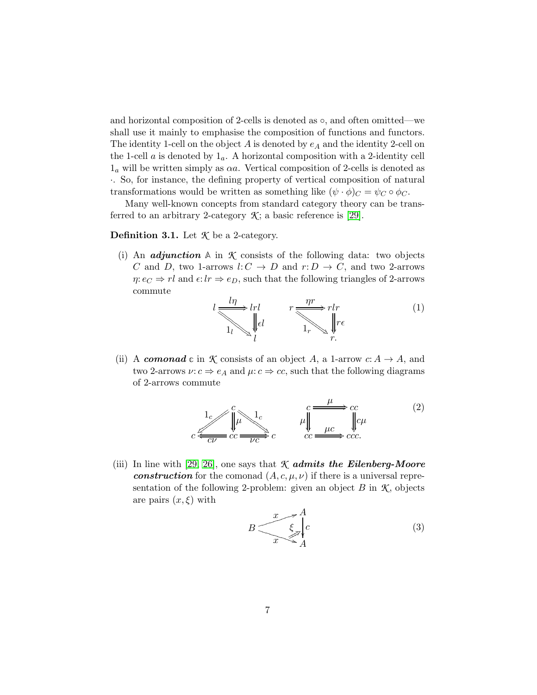and horizontal composition of 2-cells is denoted as ◦, and often omitted—we shall use it mainly to emphasise the composition of functions and functors. The identity 1-cell on the object  $A$  is denoted by  $e_A$  and the identity 2-cell on the 1-cell  $a$  is denoted by  $1_a$ . A horizontal composition with a 2-identity cell  $1<sub>a</sub>$  will be written simply as  $\alpha a$ . Vertical composition of 2-cells is denoted as ·. So, for instance, the defining property of vertical composition of natural transformations would be written as something like  $(\psi \cdot \phi)_C = \psi_C \circ \phi_C$ .

Many well-known concepts from standard category theory can be transferred to an arbitrary 2-category  $\mathcal{K}$ ; a basic reference is [\[29\]](#page-37-4).

#### <span id="page-6-2"></span><span id="page-6-1"></span>Definition 3.1. Let *K* be a 2-category.

(i) An *adjunction*  $\mathbb A$  in  $\mathcal K$  consists of the following data: two objects C and D, two 1-arrows  $l: C \rightarrow D$  and  $r: D \rightarrow C$ , and two 2-arrows  $\eta: e_C \Rightarrow rl$  and  $\epsilon: lr \Rightarrow e_D$ , such that the following triangles of 2-arrows commute

<span id="page-6-3"></span>
$$
l \underbrace{\frac{l\eta}{\sqrt{n}}}_{1_l} \downarrow \qquad r \underbrace{\frac{\eta r}{\sqrt{n}}}_{1_r} r l \qquad (1)
$$

(ii) A **comonad** c in *K* consists of an object A, a 1-arrow  $c: A \rightarrow A$ , and two 2-arrows  $\nu: c \Rightarrow e_A$  and  $\mu: c \Rightarrow cc$ , such that the following diagrams of 2-arrows commute

$$
c \stackrel{1}{\underset{C}{\longleftarrow}} \bigcirc \qquad \qquad \downarrow c \qquad \qquad \downarrow c \qquad \qquad \downarrow c \qquad \qquad \downarrow c \qquad \qquad \downarrow c \qquad \qquad \downarrow c \qquad \qquad \downarrow c \qquad \qquad \downarrow c \qquad \qquad \downarrow c \qquad \qquad (2)
$$
\n
$$
c \stackrel{1}{\underset{C}{\longleftarrow}} \bigcirc \qquad \downarrow c \qquad \qquad \downarrow c \qquad \qquad \downarrow c \qquad \qquad \downarrow c \qquad \qquad \downarrow c \qquad \qquad (3)
$$

<span id="page-6-4"></span>(iii) In line with [\[29,](#page-37-4) [26\]](#page-37-5), one says that  $K$  admits the Eilenberg-Moore construction for the comonad  $(A, c, \mu, \nu)$  if there is a universal representation of the following 2-problem: given an object  $B$  in  $K$ , objects are pairs  $(x, \xi)$  with

<span id="page-6-0"></span>
$$
B \frac{x}{\sqrt{\frac{\xi}{\lambda}}} \int_{A}^{A} (3)
$$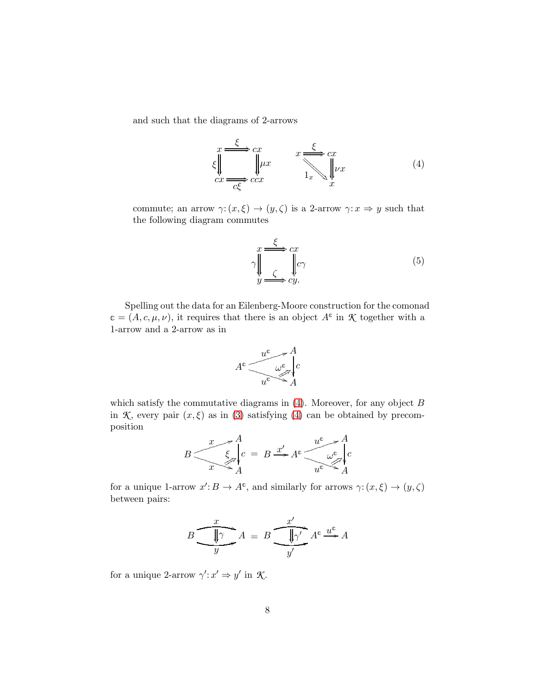and such that the diagrams of 2-arrows

<span id="page-7-0"></span>
$$
\xi \Big\|_{cx} \xrightarrow{c} cx \xrightarrow{cx} \xi \xrightarrow{1_x} x \xrightarrow{1_x} \psi x \tag{4}
$$

commute; an arrow  $\gamma: (x, \xi) \to (y, \zeta)$  is a 2-arrow  $\gamma: x \Rightarrow y$  such that the following diagram commutes

<span id="page-7-1"></span>
$$
\gamma \parallel \qquad \qquad \downarrow \qquad \qquad \downarrow \qquad \qquad \downarrow \qquad \qquad \downarrow \qquad \qquad (5)
$$
\n
$$
\gamma \parallel \qquad \qquad \downarrow \qquad \qquad \downarrow \qquad \qquad (5)
$$

Spelling out the data for an Eilenberg-Moore construction for the comonad  $c = (A, c, \mu, \nu)$ , it requires that there is an object  $A^c$  in  $\mathcal K$  together with a 1-arrow and a 2-arrow as in



which satisfy the commutative diagrams in  $(4)$ . Moreover, for any object B in *K*, every pair  $(x, \xi)$  as in [\(3\)](#page-6-0) satisfying [\(4\)](#page-7-0) can be obtained by precomposition

$$
B \frac{x}{\sqrt{\xi}} \begin{cases} A \\ B \end{cases} = B \xrightarrow{x'} A^c \frac{u^c}{\sqrt{\xi}} \begin{cases} A \\ C \end{cases}
$$

for a unique 1-arrow  $x': B \to A^c$ , and similarly for arrows  $\gamma: (x, \xi) \to (y, \zeta)$ between pairs:

$$
B \underbrace{\overbrace{\qquad y}^{x}}_{y} A = B \underbrace{\overbrace{\qquad y}^{x'}}_{y'} A^c \xrightarrow{\underline{u}^c} A
$$

for a unique 2-arrow  $\gamma': x' \Rightarrow y'$  in  $\mathcal{K}$ .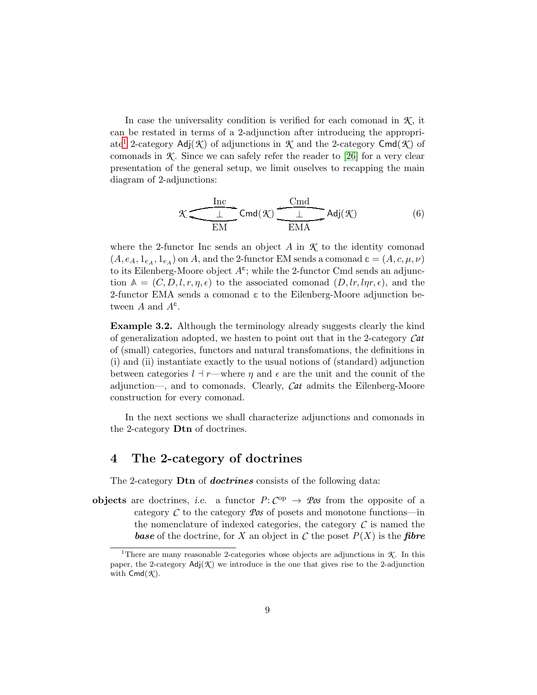In case the universality condition is verified for each comonad in  $K$ , it can be restated in terms of a 2-adjunction after introducing the appropri-ate<sup>[1](#page-8-1)</sup> 2-category  $\text{Adj}(\mathcal{K})$  of adjunctions in  $\mathcal{K}$  and the 2-category  $\text{Cmd}(\mathcal{K})$  of comonads in  $K$ . Since we can safely refer the reader to [\[26\]](#page-37-5) for a very clear presentation of the general setup, we limit ouselves to recapping the main diagram of 2-adjunctions:

<span id="page-8-2"></span>
$$
\mathcal{K} \underbrace{\underbrace{\frac{\text{Inc}}{\bot}}_{\text{EM}} }\text{Cmd}(\mathcal{K}) \underbrace{\underbrace{\frac{\text{Cmd}}{\bot}}_{\text{EMA}} \text{Adj}(\mathcal{K})} \tag{6}
$$

where the 2-functor Inc sends an object  $A$  in  $K$  to the identity comonad  $(A, e_A, 1_{e_A}, 1_{e_A})$  on A, and the 2-functor EM sends a comonad  $c = (A, c, \mu, \nu)$ to its Eilenberg-Moore object  $A^c$ ; while the 2-functor Cmd sends an adjunction  $A = (C, D, l, r, \eta, \epsilon)$  to the associated comonad  $(D, lr, l\eta r, \epsilon)$ , and the 2-functor EMA sends a comonad **c** to the Eilenberg-Moore adjunction between  $A$  and  $A^c$ .

Example 3.2. Although the terminology already suggests clearly the kind of generalization adopted, we hasten to point out that in the 2-category *Cat* of (small) categories, functors and natural transfomations, the definitions in (i) and (ii) instantiate exactly to the usual notions of (standard) adjunction between categories  $l \dashv r$ —where  $\eta$  and  $\epsilon$  are the unit and the counit of the adjunction—, and to comonads. Clearly, *Cat* admits the Eilenberg-Moore construction for every comonad.

In the next sections we shall characterize adjunctions and comonads in the 2-category Dtn of doctrines.

#### <span id="page-8-0"></span>4 The 2-category of doctrines

The 2-category **Dtn** of **doctrines** consists of the following data:

**objects** are doctrines, i.e. a functor  $P: C^{op} \to \mathcal{Pos}$  from the opposite of a category  $\mathcal C$  to the category  $\mathcal P$ *os* of posets and monotone functions—in the nomenclature of indexed categories, the category  $\mathcal C$  is named the **base** of the doctrine, for X an object in C the poset  $P(X)$  is the fibre

<span id="page-8-1"></span><sup>&</sup>lt;sup>1</sup>There are many reasonable 2-categories whose objects are adjunctions in  $K$ . In this paper, the 2-category  $\text{Adj}(\mathcal{K})$  we introduce is the one that gives rise to the 2-adjunction with  $\mathsf{Cmd}(\mathcal{K})$ .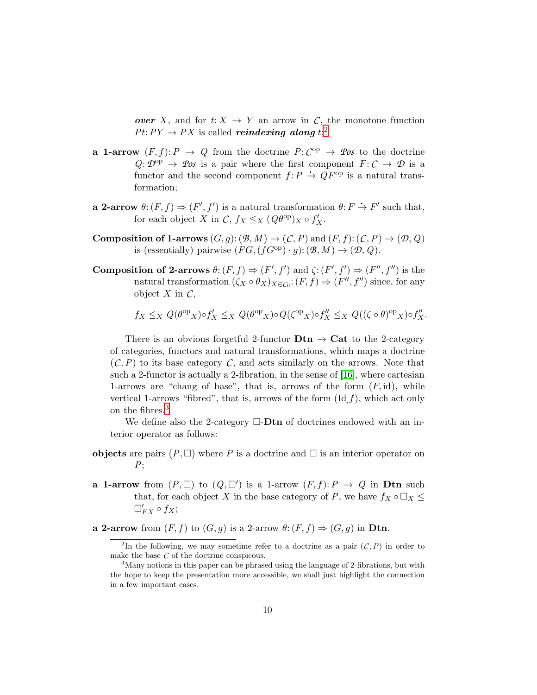over X, and for  $t: X \to Y$  an arrow in C, the monotone function  $Pt: PY \rightarrow PX$  is called *reindexing along*  $t;^2$  $t;^2$ 

- **a** 1-arrow  $(F, f): P \to Q$  from the doctrine  $P: C^{op} \to \mathcal{P}$  to the doctrine  $Q: \mathcal{D}^{\text{op}} \to \mathcal{P}$ os is a pair where the first component  $F: \mathcal{C} \to \mathcal{D}$  is a functor and the second component  $f: P \to QF^{\rm op}$  is a natural transformation;
- **a 2-arrow**  $\theta$ :  $(F, f) \Rightarrow (F', f')$  is a natural transformation  $\theta$ :  $F \rightarrow F'$  such that, for each object X in  $C, f_X \leq_X (Q\theta^{\text{op}})X \circ f'_X$ .
- Composition of 1-arrows  $(G, g) : (\mathcal{B}, M) \to (\mathcal{C}, P)$  and  $(F, f) : (\mathcal{C}, P) \to (\mathcal{D}, Q)$ is (essentially) pairwise  $(FG,(fG^{\text{op}})\cdot g) : (\mathcal{B},M) \to (\mathcal{D},Q)$ .
- **Composition of 2-arrows**  $\theta: (F, f) \Rightarrow (F', f')$  and  $\zeta: (F', f') \Rightarrow (F'', f'')$  is the natural transformation  $(\zeta_X \circ \theta_X)_{X \in C_0}$ :  $(F, f) \Rightarrow (F'', f'')$  since, for any object  $X$  in  $C$ ,

$$
f_X \leq_X Q(\theta^{\rm op} X) \circ f'_X \leq_X Q(\theta^{\rm op} X) \circ Q(\zeta^{\rm op} X) \circ f''_X \leq_X Q((\zeta \circ \theta)^{\rm op} X) \circ f''_X.
$$

There is an obvious forgetful 2-functor  $\mathbf{Dtn} \to \mathbf{Cat}$  to the 2-category of categories, functors and natural transformations, which maps a doctrine  $(C, P)$  to its base category C, and acts similarly on the arrows. Note that such a 2-functor is actually a 2-fibration, in the sense of [\[16\]](#page-37-6), where cartesian 1-arrows are "chang of base", that is, arrows of the form  $(F, id)$ , while vertical 1-arrows "fibred", that is, arrows of the form  $(\mathrm{Id}\, f)$ , which act only on the fibres.[3](#page-9-1)

We define also the 2-category  $\Box$ -**Dtn** of doctrines endowed with an interior operator as follows:

- objects are pairs  $(P, \Box)$  where P is a doctrine and  $\Box$  is an interior operator on *P*;
- **a 1-arrow** from  $(P, \Box)$  to  $(Q, \Box')$  is a 1-arrow  $(F, f): P \rightarrow Q$  in **Dtn** such that, for each object X in the base category of P, we have  $f_X \circ \Box_X \leq$  $\square'_{FX} \circ f_X;$
- a 2-arrow from  $(F, f)$  to  $(G, g)$  is a 2-arrow  $\theta: (F, f) \Rightarrow (G, g)$  in Dtn.

<span id="page-9-0"></span><sup>&</sup>lt;sup>2</sup>In the following, we may sometime refer to a doctrine as a pair  $(C, P)$  in order to make the base *C* of the doctrine conspicous.

<span id="page-9-1"></span><sup>&</sup>lt;sup>3</sup>Many notions in this paper can be phrased using the language of 2-fibrations, but with the hope to keep the presentation more accessible, we shall just highlight the connection in a few important cases.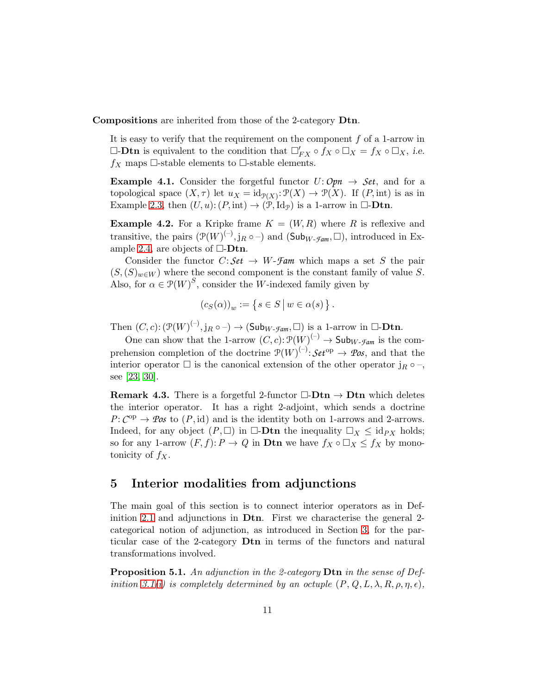Compositions are inherited from those of the 2-category Dtn.

It is easy to verify that the requirement on the component  $f$  of a 1-arrow in  $\Box$ -**Dtn** is equivalent to the condition that  $\Box'_{FX} \circ f_X \circ \Box_X = f_X \circ \Box_X$ , *i.e.*  $f_X$  maps  $\Box$ -stable elements to  $\Box$ -stable elements.

**Example 4.1.** Consider the forgetful functor  $U: Opn \rightarrow Set$ , and for a topological space  $(X, \tau)$  let  $u_X = id_{\mathcal{P}(X)} \colon \mathcal{P}(X) \to \mathcal{P}(X)$ . If  $(P, int)$  is as in Example [2.3,](#page-4-0) then  $(U, u): (P, \text{int}) \to (\mathcal{P}, \text{Id}_{\mathcal{P}})$  is a 1-arrow in  $\Box$ -**Dtn.** 

<span id="page-10-1"></span>**Example 4.2.** For a Kripke frame  $K = (W, R)$  where R is reflexive and transitive, the pairs  $(\mathcal{P}(W)^{(-)}, j_R \circ -)$  and  $(\mathsf{Sub}_{W\text{-}\mathcal{F}\text{-}\mathcal{A}m}, \square)$ , introduced in Ex-ample [2.4,](#page-4-1) are objects of  $\Box$ -**Dtn.** 

Consider the functor  $C: Set \rightarrow W$ -*Fam* which maps a set S the pair  $(S,(S)<sub>w\in W</sub>)$  where the second component is the constant family of value S. Also, for  $\alpha \in \mathcal{P}(W)^S$ , consider the W-indexed family given by

$$
(c_S(\alpha))_w := \{ s \in S \mid w \in \alpha(s) \}.
$$

Then  $(C, c) : (\mathcal{P}(W)^{(-)}, j_R \circ -) \to (\mathsf{Sub}_{W\text{-}\mathcal{F}am}, \square)$  is a 1-arrow in  $\square$ -**Dtn**.

One can show that the 1-arrow  $(C, c): \mathcal{P}(W)^{(-)} \to \mathsf{Sub}_{W\text{-}\mathcal{F}am}$  is the comprehension completion of the doctrine  $\mathcal{P}(W)^{(-)}$ :  $\mathcal{S}et^{op} \to \mathcal{P}os$ , and that the interior operator  $\Box$  is the canonical extension of the other operator  $j_R \circ \neg$ , see [\[23,](#page-37-7) [30\]](#page-38-1).

**Remark 4.3.** There is a forgetful 2-functor  $\Box$ -**Dtn**  $\rightarrow$  **Dtn** which deletes the interior operator. It has a right 2-adjoint, which sends a doctrine  $P: C^{op} \to \mathcal{P}os$  to  $(P, id)$  and is the identity both on 1-arrows and 2-arrows. Indeed, for any object  $(P, \Box)$  in  $\Box$ -**Dtn** the inequality  $\Box_X \leq id_{PX}$  holds; so for any 1-arrow  $(F, f): P \to Q$  in **Dtn** we have  $f_X \circ \Box_X \leq f_X$  by monotonicity of  $f_X$ .

#### <span id="page-10-0"></span>5 Interior modalities from adjunctions

The main goal of this section is to connect interior operators as in Definition [2.1](#page-3-0) and adjunctions in Dtn. First we characterise the general 2 categorical notion of adjunction, as introduced in Section [3,](#page-5-0) for the particular case of the 2-category Dtn in terms of the functors and natural transformations involved.

<span id="page-10-2"></span>Proposition 5.1. *An adjunction in the 2-category* Dtn *in the sense of Definition* [3.1\(](#page-6-1)*i*) *is completely determined by an octuple*  $(P, Q, L, \lambda, R, \rho, \eta, \epsilon)$ *,*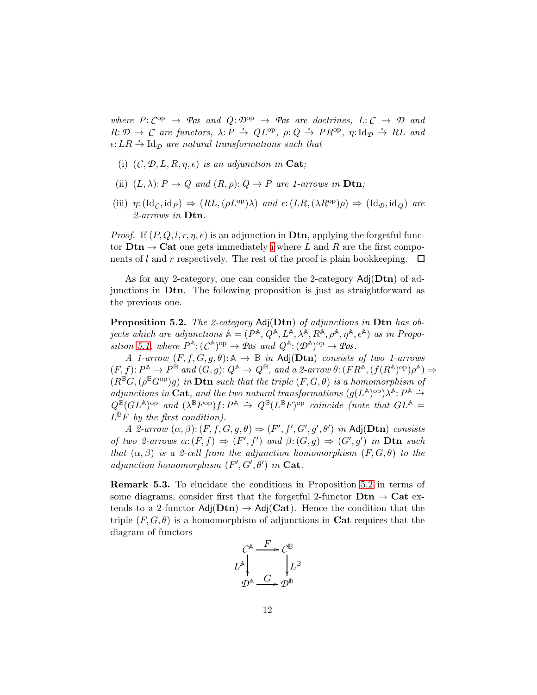*where*  $P: C^{op} \to \mathcal{P}$ *os and*  $Q: \mathcal{D}^{op} \to \mathcal{P}$ *os are doctrines,*  $L: C \to \mathcal{D}$  *and*  $R: \mathcal{D} \to C$  are functors,  $\lambda: P \to QL^{\text{op}}, \rho: Q \to PR^{\text{op}}, \eta: \text{Id}_{\mathcal{D}} \to RL$  and  $\epsilon:LR \rightarrow \text{Id}_{\mathcal{D}}$  *are natural transformations such that* 

- <span id="page-11-0"></span>(i)  $(C, \mathcal{D}, L, R, \eta, \epsilon)$  *is an adjunction in* Cat;
- (ii)  $(L, \lambda): P \to Q$  and  $(R, \rho): Q \to P$  are 1-arrows in **Dtn**;
- (iii)  $\eta: (\mathrm{Id}_C, \mathrm{id}_P) \Rightarrow (RL, (\rho L^{\mathrm{op}})\lambda)$  *and*  $\epsilon: (LR, (\lambda R^{\mathrm{op}})\rho) \Rightarrow (\mathrm{Id}_D, \mathrm{id}_Q)$  *are 2-arrows in* Dtn*.*

*Proof.* If  $(P, Q, l, r, \eta, \epsilon)$  is an adjunction in **Dtn**, applying the forgetful functor  $\textbf{Dtn} \rightarrow \textbf{Cat}$  one gets [i](#page-11-0)mmediately i where L and R are the first components of  $l$  and  $r$  respectively. The rest of the proof is plain bookkeeping.  $\Box$ 

As for any 2-category, one can consider the 2-category  $\text{Adj}(\text{Dtn})$  of adjunctions in Dtn. The following proposition is just as straightforward as the previous one.

<span id="page-11-1"></span>Proposition 5.2. *The 2-category* Adj(Dtn) *of adjunctions in* Dtn *has objects which are adjunctions*  $A = (P^{\mathbb{A}}, Q^{\mathbb{A}}, L^{\mathbb{A}}, \lambda^{\mathbb{A}}, R^{\mathbb{A}}, \rho^{\mathbb{A}}, \eta^{\mathbb{A}}, \epsilon^{\mathbb{A}})$  *as in Proposition* [5.1,](#page-10-2) where  $P^{\mathbb{A}}:(C^{\mathbb{A}})^{op} \to \mathcal{P}$ os and  $Q^{\mathbb{A}}:(D^{\mathbb{A}})^{op} \to \mathcal{P}$ os.

*A 1-arrow*  $(F, f, G, g, \theta)$ :  $\mathbb{A} \to \mathbb{B}$  *in* Adj( $\mathbf{Dtn}$ ) *consists of two 1-arrows*  $(F, f): P^{\mathbb{A}} \to P^{\mathbb{B}}$  and  $(G, g): Q^{\mathbb{A}} \to Q^{\mathbb{B}}$ , and a 2-arrow  $\theta: (FR^{\mathbb{A}}, (f(R^{\mathbb{A}})^{\text{op}})\rho^{\mathbb{A}}) \Rightarrow$  $(R^{\mathbb{B}}G,(\rho^{\mathbb{B}}G^{\text{op}})g)$  *in* Dtn *such that the triple*  $(F,G,\theta)$  *is a homomorphism of adjunctions in* Cat, and the two natural transformations  $(g(L^A)^\text{op})\lambda^A$ :  $P^A \rightarrow$  $Q^{\mathbb{B}}(GL^{\mathbb{A}})$ <sup>op</sup> *and*  $(\lambda^{\mathbb{B}}F^{\text{op}})f: P^{\mathbb{A}} \rightarrow Q^{\mathbb{B}}(L^{\mathbb{B}}F)^{\text{op}}$  *coincide (note that*  $GL^{\mathbb{A}} =$  $L^{\mathbb{B}}F$  by the first condition).

*A 2-arrow*  $(\alpha, \beta)$ :  $(F, f, G, g, \theta) \Rightarrow (F', f', G', g', \theta')$  *in* Adj(**Dtn**) *consists of two 2-arrows*  $\alpha: (F, f) \Rightarrow (F', f')$  *and*  $\beta: (G, g) \Rightarrow (G', g')$  *in* **Dtn** *such that*  $(\alpha, \beta)$  *is a 2-cell from the adjunction homomorphism*  $(F, G, \theta)$  *to the*  $adjunction \ homomorphism \ (F', G', \theta') \ in \ \mathbf{Cat}.$ 

Remark 5.3. To elucidate the conditions in Proposition [5.2](#page-11-1) in terms of some diagrams, consider first that the forgetful 2-functor  $Dtn \rightarrow Cat$  extends to a 2-functor  $\text{Adj}(\text{Dtn}) \rightarrow \text{Adj}(\text{Cat})$ . Hence the condition that the triple  $(F, G, \theta)$  is a homomorphism of adjunctions in **Cat** requires that the diagram of functors

$$
L^{\mathbb{A}}\downarrow \qquad \qquad L^{\mathbb{B}}\downarrow \qquad \qquad L^{\mathbb{B}}\downarrow
$$

$$
D^{\mathbb{A}}\downarrow \qquad \qquad L^{\mathbb{B}}\downarrow \qquad \qquad L^{\mathbb{B}}
$$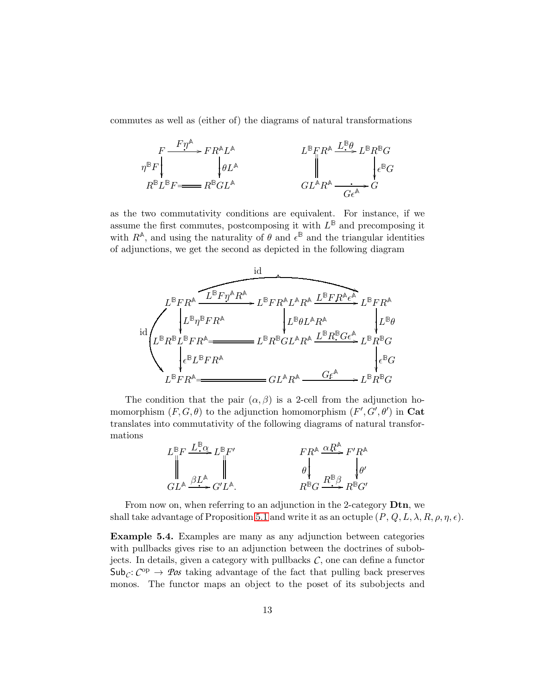commutes as well as (either of) the diagrams of natural transformations

$$
F \xrightarrow{F \eta^{\mathbb{A}}} FR^{\mathbb{A} L^{\mathbb{A}}} \downarrow^{BF} R^{\mathbb{A} L^{\mathbb{A}}} \downarrow^{BF} R^{\mathbb{A}} \xrightarrow{L^{\mathbb{B}} F R^{\mathbb{A}}} L^{\mathbb{B} R^{\mathbb{B}} G} \downarrow^{F} G
$$
\n
$$
R^{\mathbb{B} L^{\mathbb{B}} F} = R^{\mathbb{B} GL^{\mathbb{A}}} \qquad \qquad GL^{\mathbb{A} R^{\mathbb{A}}} \xrightarrow{G \in \mathbb{A}} G
$$

as the two commutativity conditions are equivalent. For instance, if we assume the first commutes, postcomposing it with  $L^{\mathbb{B}}$  and precomposing it with  $R^{\mathbb{A}}$ , and using the naturality of  $\theta$  and  $\epsilon^{\mathbb{B}}$  and the triangular identities of adjunctions, we get the second as depicted in the following diagram



The condition that the pair  $(\alpha, \beta)$  is a 2-cell from the adjunction homomorphism  $(F, G, \theta)$  to the adjunction homomorphism  $(F', G', \theta')$  in Cat translates into commutativity of the following diagrams of natural transformations



From now on, when referring to an adjunction in the 2-category **Dtn**, we shall take advantage of Proposition [5.1](#page-10-2) and write it as an octuple  $(P, Q, L, \lambda, R, \rho, \eta, \epsilon)$ .

<span id="page-12-0"></span>Example 5.4. Examples are many as any adjunction between categories with pullbacks gives rise to an adjunction between the doctrines of subobjects. In details, given a category with pullbacks  $C$ , one can define a functor  $\mathsf{Sub}_\mathcal{C}: \mathcal{C}^{\mathrm{op}} \to \mathcal{P}\mathit{os}$  taking advantage of the fact that pulling back preserves monos. The functor maps an object to the poset of its subobjects and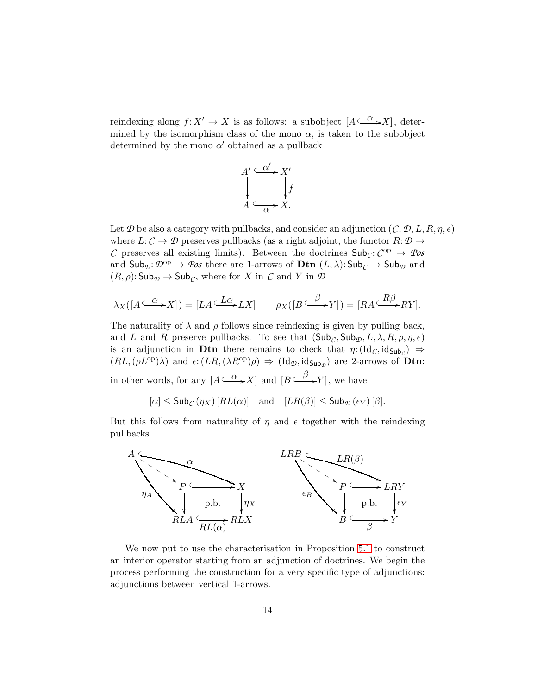reindexing along  $f: X' \to X$  is as follows: a subobject  $[A \xrightarrow{\alpha} X]$ , determined by the isomorphism class of the mono  $\alpha$ , is taken to the subobject determined by the mono  $\alpha'$  obtained as a pullback



Let  $\mathcal D$  be also a category with pullbacks, and consider an adjunction  $(C, \mathcal D, L, R, \eta, \epsilon)$ where  $L: \mathcal{C} \to \mathcal{D}$  preserves pullbacks (as a right adjoint, the functor  $R: \mathcal{D} \to$ *C* preserves all existing limits). Between the doctrines  $\mathsf{Sub}_\mathcal{C}: \mathcal{C}^{\mathrm{op}} \to \mathcal{P}$ os and  $\mathsf{Sub}_{\mathcal{D}}: \mathcal{D}^{\mathrm{op}} \to \mathcal{P} \mathfrak{os}$  there are 1-arrows of  $\mathbf{Dtn} (L, \lambda): \mathsf{Sub}_{\mathcal{C}} \to \mathsf{Sub}_{\mathcal{D}}$  and  $(R, \rho)$ : Sub $\mathcal{D} \to$  Sub $\mathcal{C}$ , where for X in C and Y in  $\mathcal D$ 

$$
\lambda_X([A \xrightarrow{\alpha} X]) = [LA \xrightarrow{L\alpha} LX] \qquad \rho_X([B \xrightarrow{\beta} Y]) = [RA \xrightarrow{R\beta} RY].
$$

The naturality of  $\lambda$  and  $\rho$  follows since reindexing is given by pulling back, and L and R preserve pullbacks. To see that  $(\mathsf{Sub}_{\mathcal{C}}, \mathsf{Sub}_{\mathcal{D}}, L, \lambda, R, \rho, \eta, \epsilon)$ is an adjunction in **Dtn** there remains to check that  $\eta: (\mathrm{Id}_C, \mathrm{id}_{\mathsf{Sub}_C}) \Rightarrow$  $(RL,(\rho L^{\text{op}})\lambda)$  and  $\epsilon: (LR,(\lambda R^{\text{op}})\rho) \Rightarrow (\text{Id}_{\mathcal{D}}, \text{id}_{\text{Sub}_{\mathcal{D}}})$  are 2-arrows of **Dtn:** in other words, for any  $[A \xrightarrow{\alpha} X]$  and  $[B \xrightarrow{\beta} Y]$ , we have

 $[\alpha] \leq$  Sub<sub>C</sub>  $(\eta_X)$   $[RL(\alpha)]$  and  $[LR(\beta)] \leq$  Sub<sub>D</sub>  $(\epsilon_Y)$   $[\beta]$ .

But this follows from naturality of  $\eta$  and  $\epsilon$  together with the reindexing pullbacks



We now put to use the characterisation in Proposition [5.1](#page-10-2) to construct an interior operator starting from an adjunction of doctrines. We begin the process performing the construction for a very specific type of adjunctions: adjunctions between vertical 1-arrows.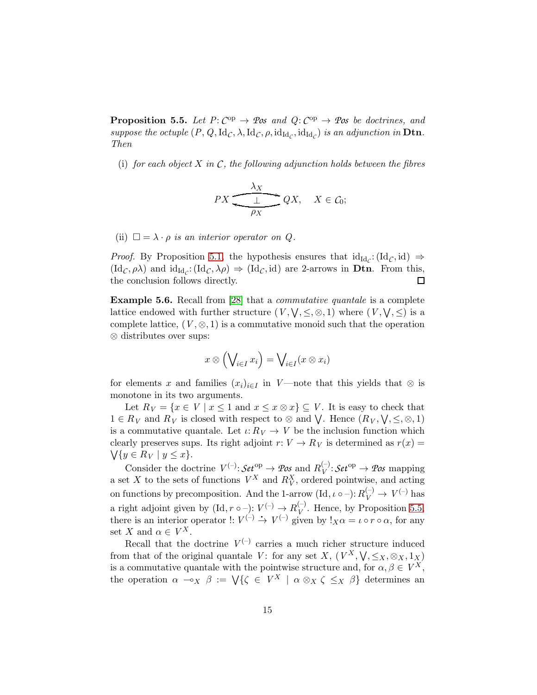<span id="page-14-0"></span>**Proposition 5.5.** Let  $P: C^{op} \to \mathcal{P}$ os and  $Q: C^{op} \to \mathcal{P}$ os be doctrines, and *suppose the octuple*  $(P, Q, \text{Id}_\mathcal{C}, \lambda, \text{Id}_\mathcal{C}, \rho, \text{id}_{\text{Id}_\mathcal{C}}, \text{id}_{\text{Id}_\mathcal{C}})$  *is an adjunction in* Dtn. *Then*

(i) *for each object* X *in C, the following adjunction holds between the fibres*

$$
PX \xrightarrow{\lambda_X} QX, \quad X \in \mathcal{C}_0;
$$

(ii)  $\square = \lambda \cdot \rho$  *is an interior operator on Q.* 

*Proof.* By Proposition [5.1,](#page-10-2) the hypothesis ensures that  $id_{Id_{\mathcal{C}}}$ :  $(id_{\mathcal{C}}, id) \Rightarrow$  $(\mathrm{Id}_{\mathcal{C}}, \rho \lambda)$  and  $\mathrm{id}_{\mathrm{Id}_{\mathcal{C}}} : (\mathrm{Id}_{\mathcal{C}}, \lambda \rho) \Rightarrow (\mathrm{Id}_{\mathcal{C}}, \mathrm{id})$  are 2-arrows in **Dtn**. From this, the conclusion follows directly.  $\Box$ 

Example 5.6. Recall from [\[28\]](#page-37-8) that a *commutative quantale* is a complete lattice endowed with further structure  $(V, \bigvee, \leq, \otimes, 1)$  where  $(V, \bigvee, \leq)$  is a complete lattice,  $(V, \otimes, 1)$  is a commutative monoid such that the operation ⊗ distributes over sups:

$$
x\otimes \left(\bigvee_{i\in I} x_i\right)=\bigvee_{i\in I} (x\otimes x_i)
$$

for elements x and families  $(x_i)_{i\in I}$  in *V*—note that this yields that ⊗ is monotone in its two arguments.

Let  $R_V = \{x \in V \mid x \leq 1 \text{ and } x \leq x \otimes x\} \subseteq V$ . It is easy to check that  $1 \in R_V$  and  $R_V$  is closed with respect to  $\otimes$  and  $\bigvee$ . Hence  $(R_V, \bigvee, \leq, \otimes, 1)$ is a commutative quantale. Let  $\iota: R_V \to V$  be the inclusion function which clearly preserves sups. Its right adjoint  $r: V \to R_V$  is determined as  $r(x) =$  $\bigvee \{y \in R_V \mid y \leq x\}.$ 

Consider the doctrine  $V^{(-)}$ :  $\mathcal{S}et^{\text{op}} \to \mathcal{P}os$  and  $R_V^{(-)}$  $V_V^{(-)}:$  *Set*<sup>op</sup>  $\rightarrow$  *Pos* mapping a set X to the sets of functions  $V^X$  and  $R_V^X$ , ordered pointwise, and acting on functions by precomposition. And the 1-arrow  $(\mathrm{Id}, \iota \circ -) : R_V^{(-)} \to V^{(-)}$  has a right adjoint given by  $(\mathrm{Id}, r \circ -) : V^{(-)} \to R_V^{(-)}$ a right adjoint given by  $(\text{Id}, r \circ -): V^{(-)} \to R_V^{(-)}$ . Hence, by Proposition [5.5,](#page-14-0) there is an interior operator  $\colon V^{(-)} \to V^{(-)}$  given by  $!_{X}\alpha = \iota \circ r \circ \alpha$ , for any set X and  $\alpha \in V^X$ .

Recall that the doctrine  $V^{(-)}$  carries a much richer structure induced from that of the original quantale *V*: for any set *X*,  $(V^X, \forall, \leq_X, \otimes_X, 1_X)$ is a commutative quantale with the pointwise structure and, for  $\alpha, \beta \in V^X$ , the operation  $\alpha \sim_X \beta := \bigvee\{\zeta \in V^X \mid \alpha \otimes_X \zeta \leq_X \beta\}$  determines an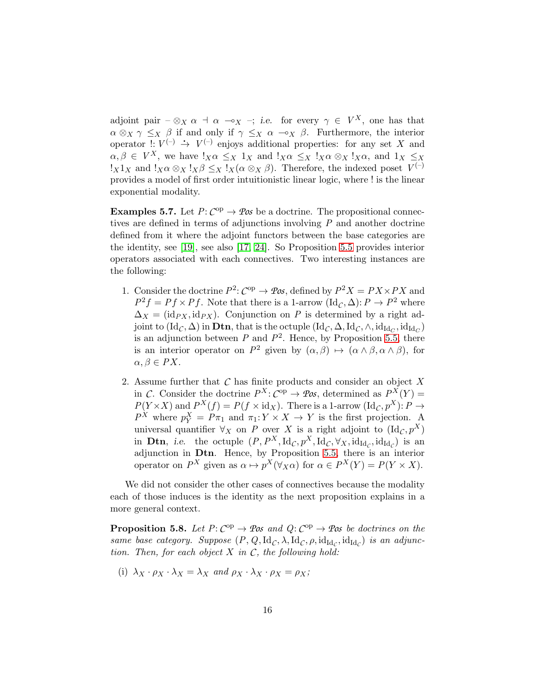adjoint pair  $-\otimes_X \alpha \to \alpha \to_{\alpha} \gamma$ ; i.e. for every  $\gamma \in V^X$ , one has that  $\alpha \otimes_X \gamma \leq_X \beta$  if and only if  $\gamma \leq_X \alpha \multimap_X \beta$ . Furthermore, the interior operator  $\colon V^{(-)} \longrightarrow V^{(-)}$  enjoys additional properties: for any set X and  $\alpha, \beta \in V^X$ , we have  $!_X \alpha \leq_X 1_X$  and  $!_X \alpha \leq_X 1_X \alpha \otimes_X 1_X \alpha$ , and  $1_X \leq_X 1_X$  $!_X1_X$  and  $!_X\alpha \otimes_X !_X\beta \leq_X 1_X(\alpha \otimes_X \beta)$ . Therefore, the indexed poset  $V^{(-)}$ provides a model of first order intuitionistic linear logic, where ! is the linear exponential modality.

**Examples 5.7.** Let  $P: C^{op} \to \mathcal{P}\mathit{os}$  be a doctrine. The propositional connectives are defined in terms of adjunctions involving *P* and another doctrine defined from it where the adjoint functors between the base categories are the identity, see [\[19\]](#page-37-0), see also [\[17,](#page-37-2) [24\]](#page-37-9). So Proposition [5.5](#page-14-0) provides interior operators associated with each connectives. Two interesting instances are the following:

- 1. Consider the doctrine  $P^2$ :  $C^{op} \to \mathcal{P}\mathit{os}$ , defined by  $P^2X = PX \times PX$  and  $P^2 f = Pf \times Pf$ . Note that there is a 1-arrow  $(\text{Id}_{\mathcal{C}}, \Delta) : P \to P^2$  where  $\Delta_X = (\mathrm{id}_{PX}, \mathrm{id}_{PX})$ . Conjunction on *P* is determined by a right adjoint to  $(\mathrm{Id}_\mathcal{C},\Delta)$  in  $\mathbf{Dtn},$  that is the octuple  $(\mathrm{Id}_\mathcal{C},\Delta,\mathrm{Id}_\mathcal{C},\wedge,\mathrm{id}_{\mathrm{Id}_\mathcal{C}},\mathrm{id}_{\mathrm{Id}_\mathcal{C}})$ is an adjunction between  $P$  and  $P^2$ . Hence, by Proposition [5.5,](#page-14-0) there is an interior operator on  $P^2$  given by  $(\alpha, \beta) \mapsto (\alpha \wedge \beta, \alpha \wedge \beta)$ , for  $\alpha, \beta \in PX$ .
- 2. Assume further that *C* has finite products and consider an object X in *C*. Consider the doctrine  $P^X: C^{op} \to \mathcal{P}os$ , determined as  $P^X(Y) =$  $P(Y \times X)$  and  $P^X(f) = P(f \times id_X)$ . There is a 1-arrow  $(\mathrm{Id}_{\mathcal{C}}, p^X)$ :  $P \to$  $P^X$  where  $p_Y^X = P \pi_1$  and  $\pi_1: Y \times X \to Y$  is the first projection. A universal quantifier  $\forall$ <sub>X</sub> on *P* over X is a right adjoint to  $(\mathrm{Id}_C, p^X)$ in **Dtn**, i.e. the octuple  $(P, P^X, \mathrm{Id}_\mathcal{C}, p^X, \mathrm{Id}_\mathcal{C}, \forall_X, \mathrm{id}_{\mathrm{Id}_\mathcal{C}}, \mathrm{id}_{\mathrm{Id}_\mathcal{C}})$  is an adjunction in Dtn. Hence, by Proposition [5.5,](#page-14-0) there is an interior operator on  $P^X$  given as  $\alpha \mapsto p^X(\forall_X \alpha)$  for  $\alpha \in P^X(Y) = P(Y \times X)$ .

We did not consider the other cases of connectives because the modality each of those induces is the identity as the next proposition explains in a more general context.

<span id="page-15-1"></span>**Proposition 5.8.** Let  $P: C^{op} \to \mathcal{P}$  *os* and  $Q: C^{op} \to \mathcal{P}$  *os be doctrines on the same base category. Suppose*  $(P, Q, \text{Id}_\mathcal{C}, \lambda, \text{Id}_\mathcal{C}, \rho, \text{id}_{\text{Id}_\mathcal{C}}, \text{id}_{\text{Id}_\mathcal{C}})$  *is an adjunction. Then, for each object* X *in C, the following hold:*

<span id="page-15-0"></span>(i)  $\lambda_X \cdot \rho_X \cdot \lambda_X = \lambda_X$  *and*  $\rho_X \cdot \lambda_X \cdot \rho_X = \rho_X$ ;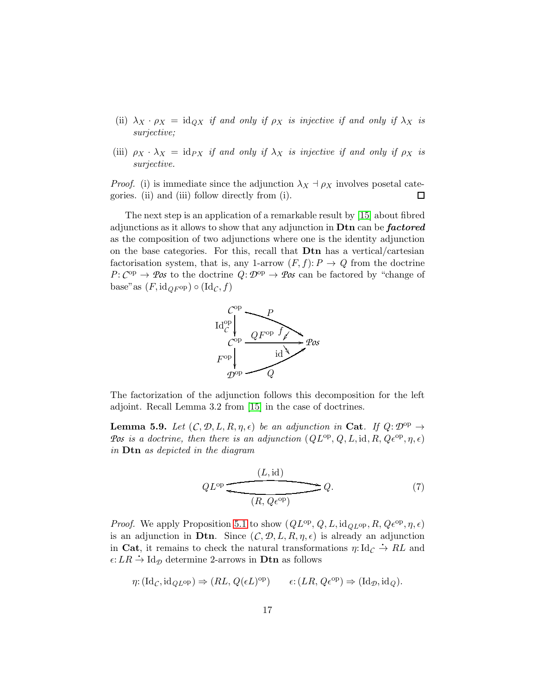- <span id="page-16-1"></span>(ii)  $\lambda_X \cdot \rho_X = \text{id}_{\mathcal{Q}X}$  *if and only if*  $\rho_X$  *is injective if and only if*  $\lambda_X$  *is surjective;*
- (iii)  $\rho_X \cdot \lambda_X = id_{PX}$  *if and only if*  $\lambda_X$  *is injective if and only if*  $\rho_X$  *is surjective.*

*Proof.* (i) is immediate since the adjunction  $\lambda_X \dashv \rho_X$  involves posetal categories. (ii) and (iii) follow directly from (i). 口

The next step is an application of a remarkable result by [\[15\]](#page-36-5) about fibred adjunctions as it allows to show that any adjunction in **Dtn** can be **factored** as the composition of two adjunctions where one is the identity adjunction on the base categories. For this, recall that Dtn has a vertical/cartesian factorisation system, that is, any 1-arrow  $(F, f)$ :  $P \to Q$  from the doctrine  $P: C^{op} \to \mathcal{P}os$  to the doctrine  $Q: \mathcal{D}^{op} \to \mathcal{P}os$  can be factored by "change of base" as  $(F, id_{QF^{op}}) \circ (Id_{\mathcal{C}}, f)$ 



The factorization of the adjunction follows this decomposition for the left adjoint. Recall Lemma 3.2 from [\[15\]](#page-36-5) in the case of doctrines.

**Lemma 5.9.** Let  $(C, \mathcal{D}, L, R, \eta, \epsilon)$  be an adjunction in Cat. If  $Q: \mathcal{D}^{\text{op}} \to$ *Pos is a doctrine, then there is an adjunction*  $(QL^{\text{op}}, Q, L, \text{id}, R, Q\epsilon^{\text{op}}, \eta, \epsilon)$ *in* Dtn *as depicted in the diagram*

<span id="page-16-0"></span>
$$
QL^{op} \xrightarrow{\text{(L, id)}} Q. \tag{7}
$$

*Proof.* We apply Proposition [5.1](#page-10-2) to show  $(QL^{\text{op}}, Q, L, \text{id}_{QL^{\text{op}}}, R, Q\epsilon^{\text{op}}, \eta, \epsilon)$ is an adjunction in Dtn. Since  $(C, \mathcal{D}, L, R, \eta, \epsilon)$  is already an adjunction in Cat, it remains to check the natural transformations  $\eta: \mathrm{Id}_{\mathcal{C}} \to RL$  and  $\epsilon:LR \rightarrow \mathrm{Id}_{\mathcal{D}}$  determine 2-arrows in **Dtn** as follows

$$
\eta: (\mathrm{Id}_{\mathcal{C}}, \mathrm{id}_{QL^{\mathrm{op}}}) \Rightarrow (RL, Q(\epsilon L)^{\mathrm{op}}) \qquad \epsilon: (LR, Q\epsilon^{\mathrm{op}}) \Rightarrow (\mathrm{Id}_{\mathcal{D}}, \mathrm{id}_{Q}).
$$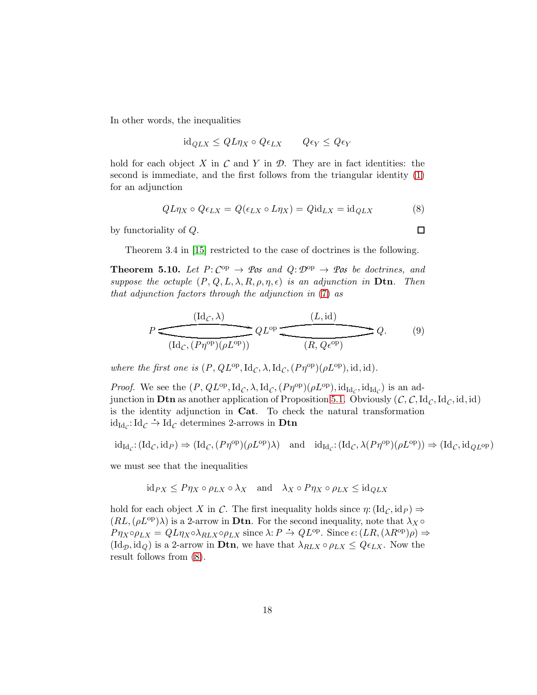In other words, the inequalities

$$
id_{QLX} \le QL\eta_X \circ Q\epsilon_{LX} \qquad Q\epsilon_Y \le Q\epsilon_Y
$$

hold for each object  $X$  in  $C$  and  $Y$  in  $D$ . They are in fact identities: the second is immediate, and the first follows from the triangular identity [\(1\)](#page-6-3) for an adjunction

<span id="page-17-0"></span>
$$
QL\eta_X \circ Q\epsilon_{LX} = Q(\epsilon_{LX} \circ L\eta_X) = Q\mathrm{id}_{LX} = \mathrm{id}_{QLX}
$$
 (8)

<span id="page-17-1"></span> $\Box$ 

by functoriality of Q.

Theorem 3.4 in [\[15\]](#page-36-5) restricted to the case of doctrines is the following.

<span id="page-17-2"></span>**Theorem 5.10.** Let  $P: C^{op} \to \mathcal{P}$ os and  $Q: \mathcal{D}^{op} \to \mathcal{P}$ os be doctrines, and *suppose the octuple*  $(P, Q, L, \lambda, R, \rho, \eta, \epsilon)$  *is an adjunction in* **Dtn**. Then *that adjunction factors through the adjunction in* [\(7\)](#page-16-0) *as*

$$
P \underbrace{\overbrace{\left(\mathrm{Id}_\mathcal{C}, \lambda\right)}^{(\mathrm{Id}_\mathcal{C}, \lambda)} QL^{\mathrm{op}} \underbrace{\overbrace{\left(\mathcal{L}, \mathrm{id}\right)}^{(\mathcal{L}, \mathrm{id})}}^{(\mathcal{L}, \mathrm{id})} Q. \qquad (9)
$$

where the first one is  $(P, QL^{\text{op}}, \text{Id}_{\mathcal{C}}, \lambda, \text{Id}_{\mathcal{C}}, (P\eta^{\text{op}})(\rho L^{\text{op}}), \text{id}, \text{id}).$ 

*Proof.* We see the  $(P, QL^{\text{op}}, \text{Id}_{\mathcal{C}}, \lambda, \text{Id}_{\mathcal{C}}, (P\eta^{\text{op}})(\rho L^{\text{op}}), \text{id}_{\text{Id}_{\mathcal{C}}}, \text{id}_{\text{Id}_{\mathcal{C}}})$  is an adjunction in **Dtn** as another application of Proposition [5.1.](#page-10-2) Obviously  $(C, C, Id_C, Id_C, id, id)$ is the identity adjunction in Cat. To check the natural transformation id<sub>Id<sub>*C*</sub>: Id<sub>*C*</sub>  $\rightarrow$  Id<sub>*C*</sub> determines 2-arrows in Dtn</sub>

$$
id_{\mathrm{Id}_{\mathcal{C}}}: (\mathrm{Id}_{\mathcal{C}}, \mathrm{id}_{\mathcal{P}}) \Rightarrow (\mathrm{Id}_{\mathcal{C}}, (P\eta^{\mathrm{op}})(\rho L^{\mathrm{op}})\lambda) \text{ and } id_{\mathrm{Id}_{\mathcal{C}}}:(\mathrm{Id}_{\mathcal{C}}, \lambda(P\eta^{\mathrm{op}})(\rho L^{\mathrm{op}})) \Rightarrow (\mathrm{Id}_{\mathcal{C}}, \mathrm{id}_{\mathcal{Q}L^{\mathrm{op}}})
$$

we must see that the inequalities

$$
\mathrm{id}_{PX} \leq P\eta_X \circ \rho_{LX} \circ \lambda_X \quad \text{and} \quad \lambda_X \circ P\eta_X \circ \rho_{LX} \leq \mathrm{id}_{QLX}
$$

hold for each object X in C. The first inequality holds since  $\eta: (\mathrm{Id}_\mathcal{C}, \mathrm{id}_P) \Rightarrow$  $(RL,(\rho L^{\text{op}})\lambda)$  is a 2-arrow in **Dtn**. For the second inequality, note that  $\lambda_X \circ$  $P\eta_X \circ \rho_{LX} = QL\eta_X \circ \lambda_{RLX} \circ \rho_{LX}$  since  $\lambda: P \to QL^{\rm op}$ . Since  $\epsilon: (LR, (\lambda R^{\rm op})\rho) \Rightarrow$  $(\mathrm{Id}_{\mathcal{D}}, \mathrm{id}_{Q})$  is a 2-arrow in **Dtn**, we have that  $\lambda_{RLX} \circ \rho_{LX} \leq Q \epsilon_{LX}$ . Now the result follows from [\(8\)](#page-17-0).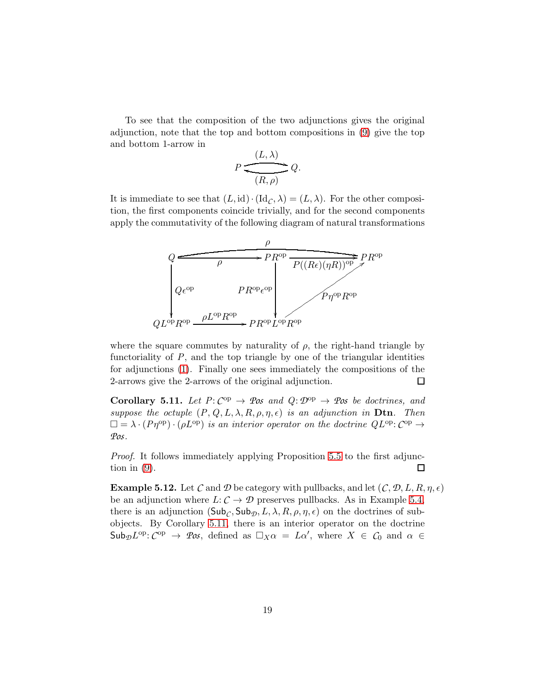To see that the composition of the two adjunctions gives the original adjunction, note that the top and bottom compositions in [\(9\)](#page-17-1) give the top and bottom 1-arrow in

$$
P \xleftarrow{(L, \lambda)} Q.
$$

It is immediate to see that  $(L, id) \cdot (Id_C, \lambda) = (L, \lambda)$ . For the other composition, the first components coincide trivially, and for the second components apply the commutativity of the following diagram of natural transformations



where the square commutes by naturality of  $\rho$ , the right-hand triangle by functoriality of P, and the top triangle by one of the triangular identities for adjunctions [\(1\)](#page-6-3). Finally one sees immediately the compositions of the 2-arrows give the 2-arrows of the original adjunction.  $\Box$ 

<span id="page-18-1"></span>**Corollary 5.11.** Let  $P: C^{op} \to \mathcal{P}$ os and  $Q: \mathcal{D}^{op} \to \mathcal{P}$ os be doctrines, and *suppose the octuple*  $(P, Q, L, \lambda, R, \rho, \eta, \epsilon)$  *is an adjunction in* **Dtn**. Then  $\square = \lambda \cdot (P\eta^{\text{op}}) \cdot (\rho L^{\text{op}})$  *is an interior operator on the doctrine*  $QL^{\text{op}}: C^{\text{op}} \to$ *Pos.*

*Proof.* It follows immediately applying Proposition [5.5](#page-14-0) to the first adjunction in  $(9)$ .  $\Box$ 

<span id="page-18-0"></span>**Example 5.12.** Let *C* and *D* be category with pullbacks, and let  $(C, \mathcal{D}, L, R, \eta, \epsilon)$ be an adjunction where  $L: \mathcal{C} \to \mathcal{D}$  preserves pullbacks. As in Example [5.4,](#page-12-0) there is an adjunction  $(\mathsf{Sub}_{\mathcal{C}}, \mathsf{Sub}_{\mathcal{D}}, L, \lambda, R, \rho, \eta, \epsilon)$  on the doctrines of subobjects. By Corollary [5.11,](#page-18-1) there is an interior operator on the doctrine  $\mathsf{Sub}_{\mathcal{D}}L^{\mathrm{op}}: \mathcal{C}^{\mathrm{op}} \to \mathcal{P}\mathcal{O}\mathcal{S}$ , defined as  $\Box_X \alpha = L\alpha'$ , where  $X \in \mathcal{C}_0$  and  $\alpha \in$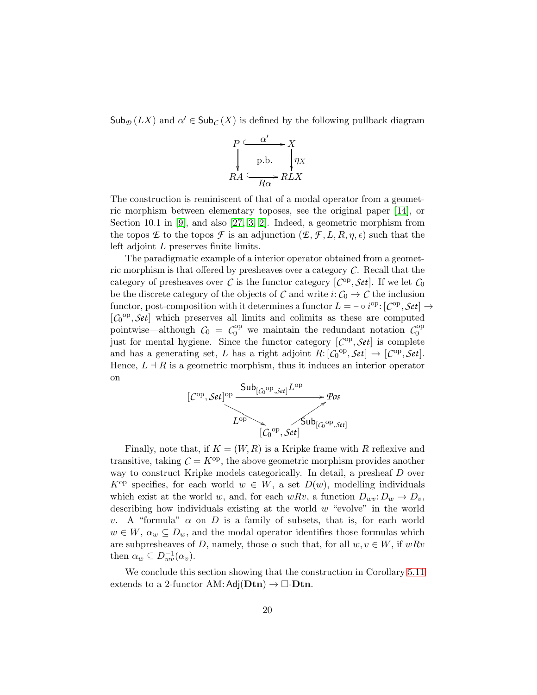$\mathsf{Sub}_{\mathcal{D}}(LX)$  and  $\alpha' \in \mathsf{Sub}_{\mathcal{C}}(X)$  is defined by the following pullback diagram



The construction is reminiscent of that of a modal operator from a geometric morphism between elementary toposes, see the original paper [\[14\]](#page-36-6), or Section 10.1 in [\[9\]](#page-36-4), and also [\[27,](#page-37-10) [3,](#page-35-0) [2\]](#page-35-1). Indeed, a geometric morphism from the topos *E* to the topos *F* is an adjunction  $(E, \mathcal{F}, L, R, \eta, \epsilon)$  such that the left adjoint L preserves finite limits.

The paradigmatic example of a interior operator obtained from a geometric morphism is that offered by presheaves over a category *C*. Recall that the category of presheaves over *C* is the functor category  $[C^{op}, \mathcal{S}et]$ . If we let  $C_0$ be the discrete category of the objects of *C* and write  $i: C_0 \to C$  the inclusion functor, post-composition with it determines a functor  $L = -\circ i^{\text{op}}$ :  $[{\mathcal{C}}^{\text{op}},{\mathcal{S}}et] \to$  $[C_0^{\text{op}}, \mathcal{S}et]$  which preserves all limits and colimits as these are computed pointwise—although  $C_0 = C_0^{\text{op}}$  we maintain the redundant notation  $C_0^{\text{op}}$ 0 just for mental hygiene. Since the functor category  $[C^{op}, \mathcal{S}et]$  is complete and has a generating set, L has a right adjoint  $R: [C_0^{\text{op}}, \mathcal{S}et] \to [C_{\text{op}}, \mathcal{S}et]$ . Hence,  $L \dashv R$  is a geometric morphism, thus it induces an interior operator on



Finally, note that, if  $K = (W, R)$  is a Kripke frame with R reflexive and transitive, taking  $\mathcal{C} = K^{\text{op}}$ , the above geometric morphism provides another way to construct Kripke models categorically. In detail, a presheaf D over  $K^{\text{op}}$  specifies, for each world  $w \in W$ , a set  $D(w)$ , modelling individuals which exist at the world w, and, for each  $wRv$ , a function  $D_{wv}: D_w \to D_v$ , describing how individuals existing at the world  $w$  "evolve" in the world v. A "formula"  $\alpha$  on D is a family of subsets, that is, for each world  $w \in W$ ,  $\alpha_w \subseteq D_w$ , and the modal operator identifies those formulas which are subpresheaves of D, namely, those  $\alpha$  such that, for all  $w, v \in W$ , if  $wRv$ then  $\alpha_w \subseteq D_{wv}^{-1}(\alpha_v)$ .

We conclude this section showing that the construction in Corollary [5.11](#page-18-1) extends to a 2-functor AM:  $Adj(Dtn) \rightarrow \Box$ -Dtn.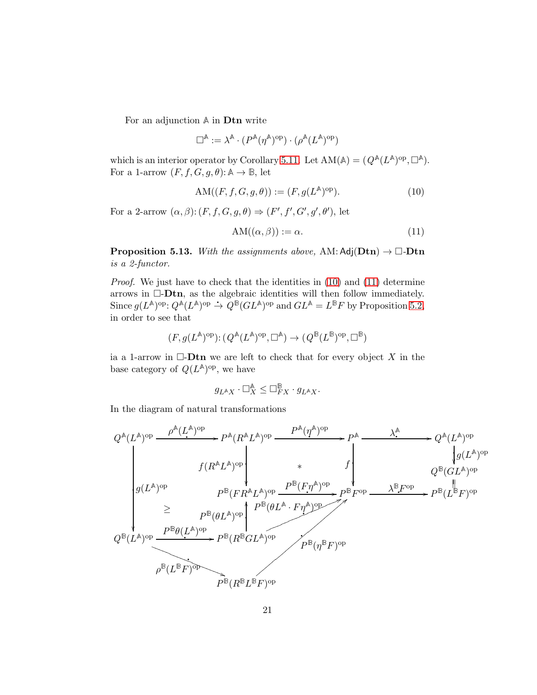For an adjunction **A** in Dtn write

$$
\square^{\mathbb{A}}:=\lambda^{\mathbb{A}}\cdot(P^{\mathbb{A}}(\eta^{\mathbb{A}})^{\text{op}})\cdot(\rho^{\mathbb{A}}(L^{\mathbb{A}})^{\text{op}})
$$

which is an interior operator by Corollary [5.11.](#page-18-1) Let  $AM(\mathbb{A}) = (Q^{\mathbb{A}}(L^{\mathbb{A}})^{op}, \Box^{\mathbb{A}})$ . For a 1-arrow  $(F, f, G, g, \theta)$ :  $\mathbb{A} \to \mathbb{B}$ , let

$$
AM((F, f, G, g, \theta)) := (F, g(L^{\mathbb{A}})^{\text{op}}). \tag{10}
$$

For a 2-arrow  $(\alpha, \beta)$ :  $(F, f, G, g, \theta) \Rightarrow (F', f', G', g', \theta')$ , let

<span id="page-20-1"></span><span id="page-20-0"></span>
$$
AM((\alpha, \beta)) := \alpha.
$$
\n(11)

<span id="page-20-2"></span>**Proposition 5.13.** With the assignments above, AM:  $Adj(Dtn) \rightarrow \Box$ -Dtn *is a 2-functor.*

*Proof.* We just have to check that the identities in [\(10\)](#page-20-0) and [\(11\)](#page-20-1) determine arrows in  $\Box$ -Dtn, as the algebraic identities will then follow immediately. Since  $g(L^{\mathbb{A}})^{\text{op}}$ :  $Q^{\mathbb{A}}(L^{\mathbb{A}})^{\text{op}} \rightarrow Q^{\mathbb{B}}(GL^{\mathbb{A}})^{\text{op}}$  and  $GL^{\mathbb{A}} = L^{\mathbb{B}}F$  by Proposition [5.2,](#page-11-1) in order to see that

$$
(F,g(L^\mathbb{A})^{\text{op}}) \text{:} \ (Q^\mathbb{A}(L^\mathbb{A})^{\text{op}},\Box^\mathbb{A}) \to (\,Q^\mathbb{B}(L^\mathbb{B})^{\text{op}},\Box^\mathbb{B})
$$

ia a 1-arrow in  $\Box$ -Dtn we are left to check that for every object X in the base category of  $Q(L^{\mathbb{A}})^{\text{op}}$ , we have

$$
g_{L^\mathbb{A} X}\cdot \square^\mathbb{A}_X \leq \square^\mathbb{B}_{FX}\cdot g_{L^\mathbb{A} X}.
$$

In the diagram of natural transformations

$$
Q^{\mathbb{A}}(L^{\mathbb{A}})^{\text{op}} \xrightarrow{\rho^{\mathbb{A}}(L^{\mathbb{A}})^{\text{op}}} P^{\mathbb{A}}(R^{\mathbb{A}}L^{\mathbb{A}})^{\text{op}} \xrightarrow{\qquad P^{\mathbb{A}}(\eta^{\mathbb{A}})^{\text{op}}} P^{\mathbb{A}} \xrightarrow{\qquad \qquad \lambda^{\mathbb{A}} \xrightarrow{\qquad \qquad \lambda^{\mathbb{A}} \xrightarrow{\qquad \qquad \lambda^{\mathbb{A}} \xrightarrow{\qquad \qquad \lambda^{\mathbb{A}} \xrightarrow{\qquad \qquad \lambda^{\mathbb{B}}(L^{\mathbb{A}})^{\text{op}}} P^{\mathbb{B}}(L^{\mathbb{A}})^{\text{op}} \xrightarrow{\qquad \qquad \lambda^{\mathbb{B}}(L^{\mathbb{A}})^{\text{op}}} P^{\mathbb{B}}(FL^{\mathbb{A}})^{\text{op}} P^{\mathbb{B}}(FL^{\mathbb{A}})^{\text{op}} \xrightarrow{\qquad P^{\mathbb{B}}(FL^{\mathbb{A}} \xrightarrow{\qquad \qquad P^{\mathbb{B}}(F\eta^{\mathbb{A}})^{\text{op}}} P^{\mathbb{B}}(PL^{\mathbb{B}}F)^{\text{op}} \xrightarrow{\qquad \qquad \lambda^{\mathbb{B}}F^{\text{op}} \xrightarrow{\qquad \qquad \lambda^{\mathbb{B}}F^{\text{op}}} P^{\mathbb{B}}(L^{\mathbb{B}}F)^{\text{op}}
$$
\n
$$
Q^{\mathbb{B}}(L^{\mathbb{A}})^{\text{op}} \xrightarrow{\qquad P^{\mathbb{B}}(0L^{\mathbb{A}})^{\text{op}}} P^{\mathbb{B}}(BL^{\mathbb{A}})^{\text{op}} \xrightarrow{\qquad \qquad P^{\mathbb{B}}(R^{\mathbb{B}}GL^{\mathbb{A}})^{\text{op}}} P^{\mathbb{B}}(R^{\mathbb{B}}GL^{\mathbb{A}})^{\text{op}}
$$
\n
$$
Q^{\mathbb{B}}(L^{\mathbb{B}}F)^{\text{op}}
$$
\n
$$
Q^{\mathbb{B}}(L^{\mathbb{B}}F)^{\text{op}}
$$
\n
$$
Q^{\mathbb{B}}(L^{\mathbb{B}}F)^{\text{op}}
$$
\n
$$
P^{\mathbb{B}}(R^{\mathbb{
$$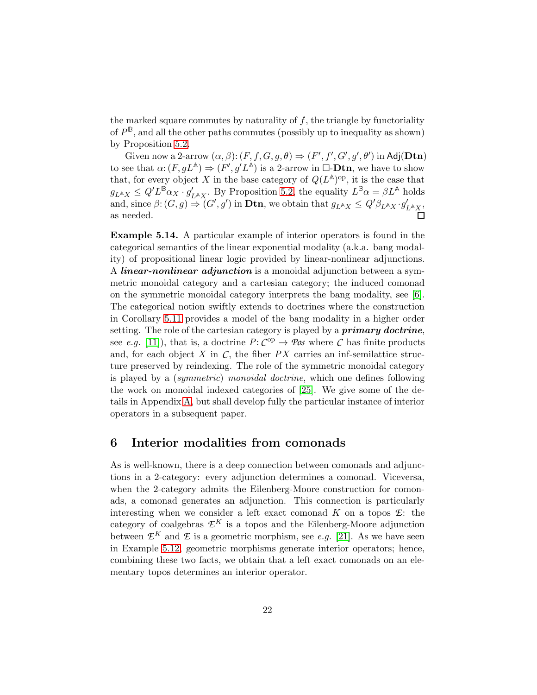the marked square commutes by naturality of  $f$ , the triangle by functoriality of  $P^{\mathbb{B}}$ , and all the other paths commutes (possibly up to inequality as shown) by Proposition [5.2.](#page-11-1)

Given now a 2-arrow  $(\alpha, \beta)$ :  $(F, f, G, g, \theta) \Rightarrow (F', f', G', g', \theta')$  in Adj(Dtn) to see that  $\alpha$ :  $(F, gL^{\mathbb{A}}) \Rightarrow (F', g'L^{\mathbb{A}})$  is a 2-arrow in  $\Box$ -**Dtn**, we have to show that, for every object X in the base category of  $Q(L^{\mathbb{A}})$ <sup>op</sup>, it is the case that  $g_{L^{\mathbb{A}}X} \leq Q'L^{\mathbb{B}}\alpha_X \cdot g'_{L^{\mathbb{A}}X}$ . By Proposition [5.2,](#page-11-1) the equality  $L^{\mathbb{B}}\alpha = \beta L^{\mathbb{A}}$  holds and, since  $\beta: (G, g) \stackrel{\sim}{\Rightarrow} (G', g')$  in **Dtn**, we obtain that  $g_{L^{\mathbb{A}}X} \leq Q' \beta_{L^{\mathbb{A}}X} \cdot g'_{L^{\mathbb{A}}X}$ , as needed.

Example 5.14. A particular example of interior operators is found in the categorical semantics of the linear exponential modality (a.k.a. bang modality) of propositional linear logic provided by linear-nonlinear adjunctions. A *linear-nonlinear adjunction* is a monoidal adjunction between a symmetric monoidal category and a cartesian category; the induced comonad on the symmetric monoidal category interprets the bang modality, see [\[6\]](#page-36-7). The categorical notion swiftly extends to doctrines where the construction in Corollary [5.11](#page-18-1) provides a model of the bang modality in a higher order setting. The role of the cartesian category is played by a **primary doctrine**, see *e.g.* [\[11\]](#page-36-8)), that is, a doctrine  $P: C^{op} \to \mathcal{P}\mathit{os}$  where  $C$  has finite products and, for each object  $X$  in  $C$ , the fiber  $PX$  carries an inf-semilattice structure preserved by reindexing. The role of the symmetric monoidal category is played by a (*symmetric*) *monoidal doctrine*, which one defines following the work on monoidal indexed categories of [\[25\]](#page-37-11). We give some of the details in Appendix [A,](#page-38-0) but shall develop fully the particular instance of interior operators in a subsequent paper.

### <span id="page-21-0"></span>6 Interior modalities from comonads

As is well-known, there is a deep connection between comonads and adjunctions in a 2-category: every adjunction determines a comonad. Viceversa, when the 2-category admits the Eilenberg-Moore construction for comonads, a comonad generates an adjunction. This connection is particularly interesting when we consider a left exact comonad  $K$  on a topos  $E$ : the category of coalgebras  $\mathcal{L}^K$  is a topos and the Eilenberg-Moore adjunction between  $\mathcal{L}^K$  and  $\mathcal L$  is a geometric morphism, see *e.g.* [\[21\]](#page-37-12). As we have seen in Example [5.12,](#page-18-0) geometric morphisms generate interior operators; hence, combining these two facts, we obtain that a left exact comonads on an elementary topos determines an interior operator.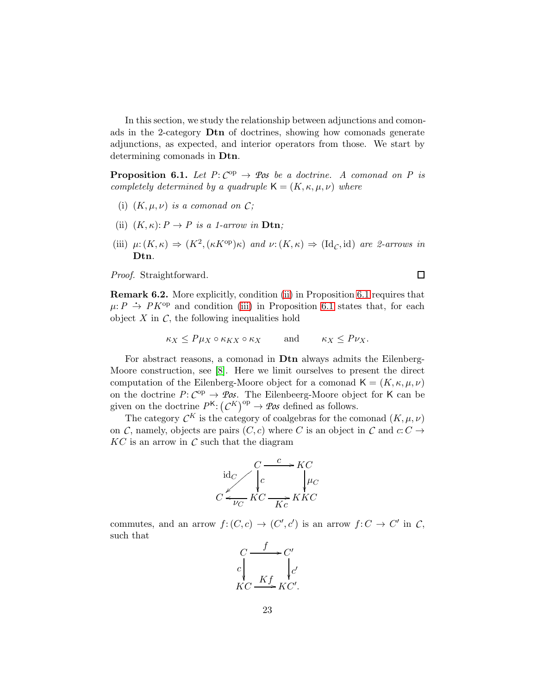In this section, we study the relationship between adjunctions and comonads in the 2-category Dtn of doctrines, showing how comonads generate adjunctions, as expected, and interior operators from those. We start by determining comonads in Dtn.

<span id="page-22-1"></span>**Proposition 6.1.** Let  $P: C^{op} \to \mathcal{P}$  *os* be a doctrine. A comonad on P is *completely determined by a quadruple*  $\mathsf{K} = (K, \kappa, \mu, \nu)$  *where* 

- <span id="page-22-0"></span>(i)  $(K, \mu, \nu)$  *is a comonad on*  $C$ ;
- <span id="page-22-2"></span>(ii)  $(K, \kappa): P \to P$  *is a 1-arrow in* **Dtn**;
- (iii)  $\mu: (K, \kappa) \Rightarrow (K^2, (\kappa K^{\text{op}})\kappa)$  *and*  $\nu: (K, \kappa) \Rightarrow (\text{Id}_C, \text{id})$  *are 2-arrows in* Dtn*.*

*Proof.* Straightforward.

Remark 6.2. More explicitly, condition [\(ii\)](#page-22-0) in Proposition [6.1](#page-22-1) requires that  $\mu: P \rightarrow PK^{op}$  and condition [\(iii\)](#page-22-2) in Proposition [6.1](#page-22-1) states that, for each object  $X$  in  $C$ , the following inequalities hold

$$
\kappa_X \le P\mu_X \circ \kappa_{KX} \circ \kappa_X \qquad \text{and} \qquad \kappa_X \le P\nu_X.
$$

For abstract reasons, a comonad in Dtn always admits the Eilenberg-Moore construction, see [\[8\]](#page-36-0). Here we limit ourselves to present the direct computation of the Eilenberg-Moore object for a comonad  $\mathsf{K} = (K, \kappa, \mu, \nu)$ on the doctrine  $P: C^{op} \to \mathcal{P}\mathit{os}$ . The Eilenbeerg-Moore object for K can be given on the doctrine  $P^{K}$ :  $(C^{K})^{op} \rightarrow \mathcal{P}\mathcal{O}\mathcal{S}$  defined as follows.

The category  $\mathcal{C}^K$  is the category of coalgebras for the comonad  $(K, \mu, \nu)$ on *C*, namely, objects are pairs  $(C, c)$  where *C* is an object in *C* and  $c: C \rightarrow$  $KC$  is an arrow in  $C$  such that the diagram



commutes, and an arrow  $f:(C,c) \to (C',c')$  is an arrow  $f:C \to C'$  in C, such that

$$
\begin{array}{ccc}\nC & f & C' \\
c & & c' \\
K & Kf & K' \\
K & G & Kc'\n\end{array}
$$

 $\Box$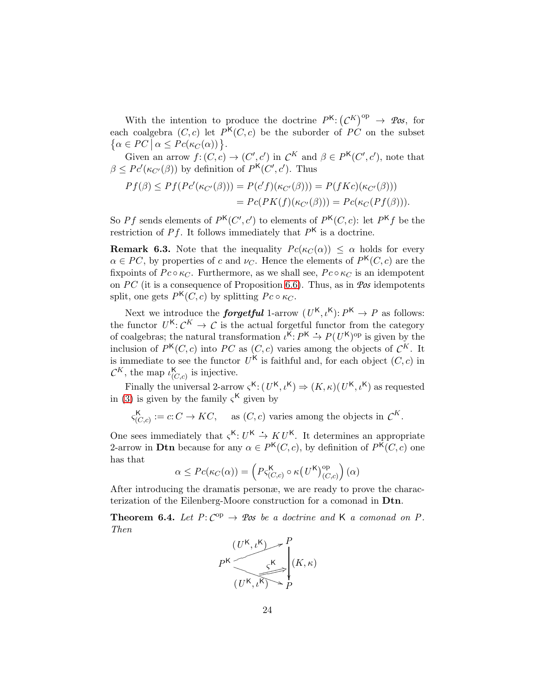With the intention to produce the doctrine  $P^{K}$ :  $(C^{K})^{op} \rightarrow \mathscr{Pos}$ , for each coalgebra  $(C, c)$  let  $P<sup>K</sup>(C, c)$  be the suborder of  $\overline{PC}$  on the subset  $\{\alpha \in PC \mid \alpha \leq Pc(\kappa_C(\alpha))\}.$ 

Given an arrow  $f: (C, c) \to (C', c')$  in  $C^K$  and  $\beta \in P<sup>K</sup>(C', c')$ , note that  $\beta \leq P c'(\kappa_{C'}(\beta))$  by definition of  $P^{K}(C', c')$ . Thus

$$
Pf(\beta) \le Pf(Pc'(\kappa_{C'}(\beta))) = P(c'f)(\kappa_{C'}(\beta))) = P(fKc)(\kappa_{C'}(\beta)))
$$
  
=  $Pc(PK(f)(\kappa_{C'}(\beta))) = Pc(\kappa_C(Pf(\beta))).$ 

So *Pf* sends elements of  $P<sup>K</sup>(C', c')$  to elements of  $P<sup>K</sup>(C, c)$ : let  $P<sup>K</sup>f$  be the restriction of  $Pf$ . It follows immediately that  $P<sup>K</sup>$  is a doctrine.

**Remark 6.3.** Note that the inequality  $Pc(\kappa_C(\alpha)) \leq \alpha$  holds for every  $\alpha \in PC$ , by properties of c and  $\nu_C$ . Hence the elements of  $P<sup>K</sup>(C, c)$  are the fixpoints of  $Pc \circ \kappa_C$ . Furthermore, as we shall see,  $Pc \circ \kappa_C$  is an idempotent on *P*C (it is a consequence of Proposition [6.6\)](#page-26-0). Thus, as in *Pos* idempotents split, one gets  $P<sup>K</sup>(C, c)$  by splitting  $Pc \circ \kappa_C$ .

Next we introduce the **forgetful** 1-arrow  $(U<sup>K</sup>, \iota<sup>K</sup>)$ :  $P<sup>K</sup> \to P$  as follows: the functor  $U^{K}: \mathcal{C}^{K} \to \mathcal{C}$  is the actual forgetful functor from the category of coalgebras; the natural transformation  $\iota^{K}: P^{K} \to P(U^{K})^{op}$  is given by the inclusion of  $P^{K}(C, c)$  into *PC* as  $(C, c)$  varies among the objects of  $C^{K}$ . It is immediate to see the functor  $U^{\mathsf{K}}$  is faithful and, for each object  $(C, c)$  in  $\mathcal{C}^K$ , the map  $\iota_{(C,c)}^{\mathsf{K}}$  is injective.

Finally the universal 2-arrow  $\varsigma^{K}$ :  $(U^{K}, \iota^{K}) \Rightarrow (K, \kappa)(U^{K}, \iota^{K})$  as requested in [\(3\)](#page-6-0) is given by the family  $\zeta<sup>K</sup>$  given by

 $\varsigma_{(C,c)}^{\mathsf{K}} := c: C \to KC$ , as  $(C, c)$  varies among the objects in  $\mathcal{C}^K$ .

One sees immediately that  $\varsigma^{K}: U^{K} \to K U^{K}$ . It determines an appropriate 2-arrow in **Dtn** because for any  $\alpha \in P^{K}(C, c)$ , by definition of  $P^{K}(C, c)$  one has that

$$
\alpha \le \text{Pc}(\kappa_C(\alpha)) = \left( P\varsigma_{(C,c)}^{\mathsf{K}} \circ \kappa(U^{\mathsf{K}})_{(C,c)}^{\text{op}} \right)(\alpha)
$$

After introducing the dramatis personæ, we are ready to prove the characterization of the Eilenberg-Moore construction for a comonad in Dtn.

<span id="page-23-0"></span>**Theorem 6.4.** Let  $P: C^{op} \to \mathcal{P}\infty$  *be a doctrine and* K *a comonad on* P. *Then*

$$
P^{K} \left( \underbrace{U^{K}, \iota^{K}}_{(U^{K}, \iota^{K}) \to P} \right)^{P} (K, \kappa)
$$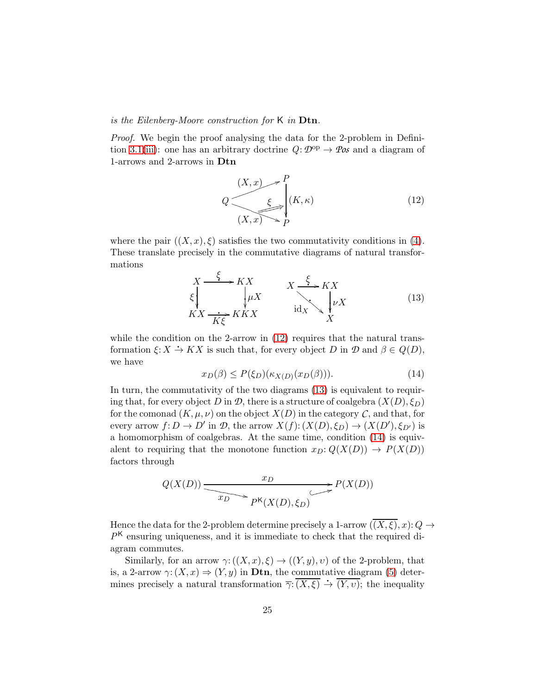#### *is the Eilenberg-Moore construction for* K *in* Dtn*.*

*Proof.* We begin the proof analysing the data for the 2-problem in Defini-tion [3.1](#page-6-1)[\(iii\)](#page-6-4): one has an arbitrary doctrine  $Q: \mathcal{D}^{\text{op}} \to \mathcal{P}$ *os* and a diagram of 1-arrows and 2-arrows in Dtn

<span id="page-24-0"></span>
$$
Q \frac{\xi}{\left(X, x\right) \to P} \begin{cases} (K, \kappa) & (12) \\ (K, \kappa) & \end{cases}
$$

<span id="page-24-1"></span>where the pair  $((X, x), \xi)$  satisfies the two commutativity conditions in [\(4\)](#page-7-0). These translate precisely in the commutative diagrams of natural transformations

$$
X \xrightarrow{f} KX
$$
  
\n
$$
\xi \downarrow_{\text{K}X} \xrightarrow{K} KX
$$
  
\n
$$
KX \xrightarrow{f} KKX
$$
  
\n
$$
\text{id}_X \searrow \downarrow_{\text{V}X} \qquad (13)
$$

<span id="page-24-2"></span>while the condition on the 2-arrow in  $(12)$  requires that the natural transformation  $\xi: X \to KX$  is such that, for every object D in  $\mathcal{D}$  and  $\beta \in Q(D)$ , we have

$$
x_D(\beta) \le P(\xi_D)(\kappa_{X(D)}(x_D(\beta))).\tag{14}
$$

In turn, the commutativity of the two diagrams  $(13)$  is equivalent to requiring that, for every object D in  $\mathcal{D}$ , there is a structure of coalgebra  $(X(D), \xi_D)$ for the comonad  $(K, \mu, \nu)$  on the object  $X(D)$  in the category  $\mathcal{C}$ , and that, for every arrow  $f: D \to D'$  in  $D$ , the arrow  $X(f): (X(D), \xi_D) \to (X(D'), \xi_{D'})$  is a homomorphism of coalgebras. At the same time, condition [\(14\)](#page-24-2) is equivalent to requiring that the monotone function  $x_D: Q(X(D)) \to P(X(D))$ factors through

$$
Q(X(D)) \xrightarrow{\text{xD}} P(X(D))
$$

Hence the data for the 2-problem determine precisely a 1-arrow  $(\overline{(X,\xi)},x)$ :  $Q \rightarrow$ *P* <sup>K</sup> ensuring uniqueness, and it is immediate to check that the required diagram commutes.

Similarly, for an arrow  $\gamma: ((X, x), \xi) \to ((Y, y), v)$  of the 2-problem, that is, a 2-arrow  $\gamma: (X, x) \Rightarrow (Y, y)$  in **Dtn**, the commutative diagram [\(5\)](#page-7-1) determines precisely a natural transformation  $\overline{\gamma}$ : $\overline{(X,\xi)} \stackrel{\rightarrow}{\rightarrow} \overline{(Y,\nu)}$ ; the inequality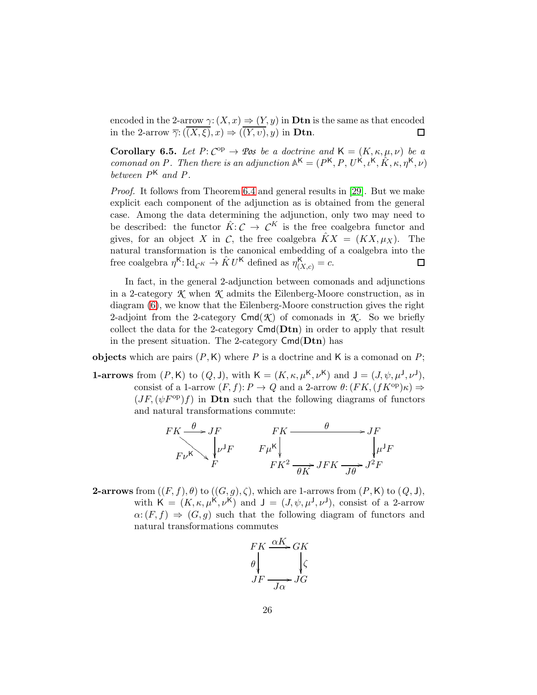encoded in the 2-arrow  $\gamma: (X, x) \to (Y, y)$  in **Dtn** is the same as that encoded in the 2-arrow  $\overline{\gamma}: ((\overline{(X,\xi)}, x) \Rightarrow ((\overline{Y}, \overline{v}), y))$  in **Dtn**.  $\Box$ 

<span id="page-25-0"></span>**Corollary 6.5.** *Let*  $P: C^{op} \to \mathcal{P}$ *os be a doctrine and*  $K = (K, \kappa, \mu, \nu)$  *be a comonad on P.* Then there is an adjunction  $A^{K} = (P^{K}, P, U^{K}, \iota^{K}, \hat{K}, \kappa, \eta^{K}, \nu)$ *between P*<sup>K</sup> *and P .*

*Proof.* It follows from Theorem [6.4](#page-23-0) and general results in [\[29\]](#page-37-4). But we make explicit each component of the adjunction as is obtained from the general case. Among the data determining the adjunction, only two may need to be described: the functor  $\hat{K}: \mathcal{C} \to \mathcal{C}^K$  is the free coalgebra functor and gives, for an object X in C, the free coalgebra  $\hat{K}X = (KX, \mu_X)$ . The natural transformation is the canonical embedding of a coalgebra into the free coalgebra  $\eta^{\mathsf{K}}$ : Id<sub>*CK*</sub>  $\rightarrow \hat{K}U^{\mathsf{K}}$  defined as  $\eta^{\mathsf{K}}_{(X,c)} = c$ . □

In fact, in the general 2-adjunction between comonads and adjunctions in a 2-category *K* when *K* admits the Eilenberg-Moore construction, as in diagram [\(6\)](#page-8-2), we know that the Eilenberg-Moore construction gives the right 2-adjoint from the 2-category  $\textsf{Cmd}(\mathcal{K})$  of comonads in  $\mathcal{K}$ . So we briefly collect the data for the 2-category  $Cmd(Dtn)$  in order to apply that result in the present situation. The 2-category  $Cmd(Dtn)$  has

**objects** which are pairs  $(P, K)$  where P is a doctrine and K is a comonad on P;

**1-arrows** from  $(P, K)$  to  $(Q, J)$ , with  $K = (K, \kappa, \mu^{K}, \nu^{K})$  and  $J = (J, \psi, \mu^{J}, \nu^{J})$ , consist of a 1-arrow  $(F, f): P \to Q$  and a 2-arrow  $\theta: (FK, (fK^{\text{op}})\kappa) \Rightarrow$  $(JF,(\psi F^{\text{op}})f)$  in **Dtn** such that the following diagrams of functors and natural transformations commute:

$$
FK \xrightarrow{\theta} JF
$$
  
\n
$$
F\nu^{K} \searrow{\theta} JF
$$
  
\n
$$
F\mu^{K}
$$
  
\n
$$
FK^{2} \xrightarrow{\theta} JF
$$
  
\n
$$
JF
$$
  
\n
$$
JF
$$
  
\n
$$
\mu^{J}F
$$
  
\n
$$
FK^{2} \xrightarrow{\theta} JFK \xrightarrow{J\theta} J^{2}F
$$

**2-arrows** from  $((F, f), \theta)$  to  $((G, g), \zeta)$ , which are 1-arrows from  $(P, K)$  to  $(Q, J)$ , with  $\mathsf{K} = (K, \kappa, \mu^{\mathsf{K}}, \nu^{\mathsf{K}})$  and  $\mathsf{J} = (J, \psi, \mu^{\mathsf{J}}, \nu^{\mathsf{J}})$ , consist of a 2-arrow  $\alpha: (F, f) \Rightarrow (G, g)$  such that the following diagram of functors and natural transformations commutes

$$
FK \xrightarrow{\alpha K} GK
$$
  
\n
$$
\theta \downarrow \qquad \qquad \downarrow \zeta
$$
  
\n
$$
JF \xrightarrow{J\alpha} JG
$$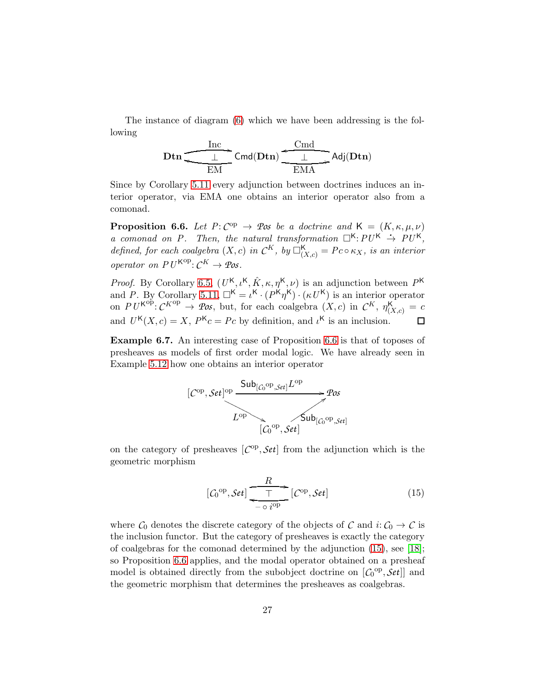The instance of diagram [\(6\)](#page-8-2) which we have been addressing is the following

$$
\mathbf{Dtn} \xrightarrow{\text{Inc}} \mathsf{Cmd}(\mathbf{Dtn}) \xrightarrow{\text{Cmd}} \mathsf{Adj}(\mathbf{Dtn})
$$

Since by Corollary [5.11](#page-18-1) every adjunction between doctrines induces an interior operator, via EMA one obtains an interior operator also from a comonad.

<span id="page-26-0"></span>**Proposition 6.6.** Let  $P: C^{op} \to \mathcal{P}$ os be a doctrine and  $K = (K, \kappa, \mu, \nu)$ *a* comonad on P. Then, the natural transformation  $\Box^{K}:PU^{K} \rightarrow PU^{K}$ , *defined, for each coalgebra*  $(X, c)$  *in*  $\mathcal{C}^K$ *, by*  $\square_{(X, c)}^{\mathsf{K}} = P c \circ \kappa_X$ *, is an interior operator on PU*<sup> $K^{op}$ </sup>:  $C^K \rightarrow \mathcal{P}$ *os*.

*Proof.* By Corollary [6.5,](#page-25-0)  $(U^{\mathsf{K}}, \iota^{\mathsf{K}}, \hat{K}, \kappa, \eta^{\mathsf{K}}, \nu)$  is an adjunction between  $P^{\mathsf{K}}$ and *P*. By Corollary [5.11,](#page-18-1)  $\Box^{K} = \iota^{K} \cdot (P^{K} \eta^{K}) \cdot (\kappa U^{K})$  is an interior operator on  $PU^{K^{op}}: \mathcal{C}^{K^{op}} \to \mathcal{P}os$ , but, for each coalgebra  $(X, c)$  in  $\mathcal{C}^K$ ,  $\eta_{(X, c)}^K = c$ and  $U^{K}(X, c) = X$ ,  $P^{K}c = Pc$  by definition, and  $\iota^{K}$  is an inclusion.

Example 6.7. An interesting case of Proposition [6.6](#page-26-0) is that of toposes of presheaves as models of first order modal logic. We have already seen in Example [5.12](#page-18-0) how one obtains an interior operator



on the category of presheaves  $[{\cal C}^{op}, {\cal Set}]$  from the adjunction which is the geometric morphism

<span id="page-26-1"></span>
$$
[C_0^{\text{op}}, \mathcal{S}et] \xrightarrow{\text{T}} [C_{\text{op}}, \mathcal{S}et] \tag{15}
$$

where  $C_0$  denotes the discrete category of the objects of  $C$  and  $i: C_0 \to C$  is the inclusion functor. But the category of presheaves is exactly the category of coalgebras for the comonad determined by the adjunction [\(15\)](#page-26-1), see [\[18\]](#page-37-13); so Proposition [6.6](#page-26-0) applies, and the modal operator obtained on a presheaf model is obtained directly from the subobject doctrine on  $[C_0^{\text{op}}, \mathcal{S}et]]$  and the geometric morphism that determines the presheaves as coalgebras.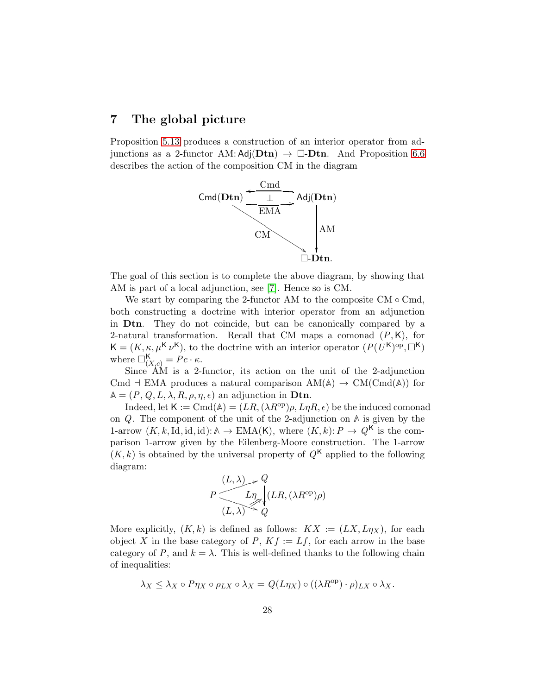## <span id="page-27-0"></span>7 The global picture

Proposition [5.13](#page-20-2) produces a construction of an interior operator from adjunctions as a 2-functor AM:  $Adj(Dtn) \rightarrow \Box$ -Dtn. And Proposition [6.6](#page-26-0) describes the action of the composition CM in the diagram



The goal of this section is to complete the above diagram, by showing that AM is part of a local adjunction, see [\[7\]](#page-36-1). Hence so is CM.

We start by comparing the 2-functor AM to the composite  $CM \circ Cmd$ , both constructing a doctrine with interior operator from an adjunction in Dtn. They do not coincide, but can be canonically compared by a 2-natural transformation. Recall that CM maps a comonad (*P*,K), for  $\mathsf{K} = (K, \kappa, \mu^{\mathsf{K}} \nu^{\mathsf{K}})$ , to the doctrine with an interior operator  $(P(U^{\mathsf{K}})^{\text{op}}, \Box^{\mathsf{K}})$ where  $\square^{\mathsf{K}}_{(X,c)} = Pc \cdot \kappa$ .

Since AM is a 2-functor, its action on the unit of the 2-adjunction Cmd  $\vdash$  EMA produces a natural comparison  $AM(\mathbb{A}) \rightarrow CM(Cond(\mathbb{A}))$  for  $A = (P, Q, L, \lambda, R, \rho, \eta, \epsilon)$  an adjunction in **Dtn.** 

Indeed, let  $\mathsf{K} := \text{Cmd}(\mathbb{A}) = (LR, (\lambda R^{\text{op}}), L\eta R, \epsilon)$  be the induced comonad on *Q*. The component of the unit of the 2-adjunction on **A** is given by the 1-arrow  $(K, k, \text{Id}, \text{id}, \text{id}): \mathbb{A} \to \text{EMA}(K)$ , where  $(K, k): P \to Q^K$  is the comparison 1-arrow given by the Eilenberg-Moore construction. The 1-arrow  $(K, k)$  is obtained by the universal property of  $Q<sup>K</sup>$  applied to the following diagram:

$$
P \xrightarrow{\begin{array}{c} (L,\lambda) \nearrow Q \\ \hline L \eta \nearrow Q \end{array}} Q_{\begin{array}{c} (LR,(\lambda R^{\rm op})\rho) \end{array}}
$$

More explicitly,  $(K, k)$  is defined as follows:  $KX := (LX, L\eta_X)$ , for each object X in the base category of  $P, Kf := Lf$ , for each arrow in the base category of *P*, and  $k = \lambda$ . This is well-defined thanks to the following chain of inequalities:

$$
\lambda_X \leq \lambda_X \circ P \eta_X \circ \rho_{LX} \circ \lambda_X = Q(L\eta_X) \circ ((\lambda R^{\text{op}}) \cdot \rho)_{LX} \circ \lambda_X.
$$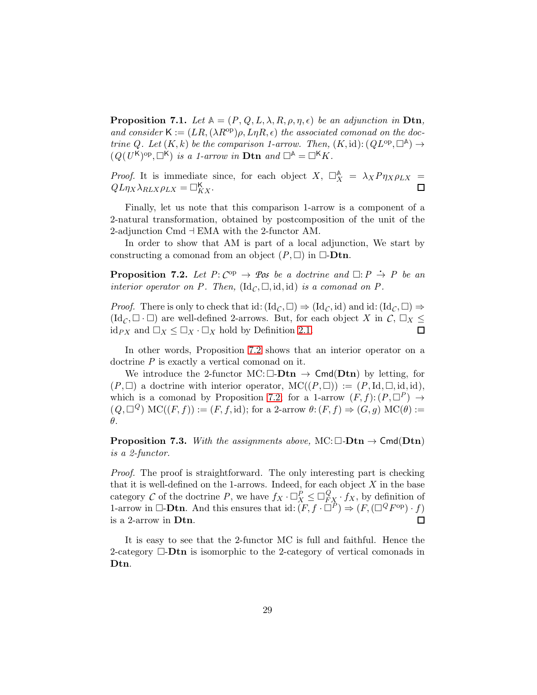**Proposition 7.1.** *Let*  $A = (P, Q, L, \lambda, R, \rho, \eta, \epsilon)$  *be an adjunction in* Dtn, and consider  $\mathsf{K} := (LR, (\lambda R^{\text{op}}), L\eta R, \epsilon)$  the associated comonad on the doc*trine Q. Let*  $(K, k)$  *be the comparison 1-arrow. Then,*  $(K, id)$ :  $(QL^{\text{op}}, \Box^{\mathbb{A}}) \rightarrow$  $(Q(U^{\mathsf{K}})^{\text{op}}, \Box^{\mathsf{K}})$  *is a 1-arrow in* **Dtn** and  $\Box^{\mathsf{A}} = \Box^{\mathsf{K}} K$ .

*Proof.* It is immediate since, for each object  $X$ ,  $\Box_X^{\mathbb{A}} = \lambda_X P \eta_X \rho_{LX} =$  $QL\eta_X \lambda_{RLX} \rho_{LX} = \Box_{KX}^{\mathsf{K}}.$ 

Finally, let us note that this comparison 1-arrow is a component of a 2-natural transformation, obtained by postcomposition of the unit of the 2-adjunction Cmd ⊣ EMA with the 2-functor AM.

In order to show that AM is part of a local adjunction, We start by constructing a comonad from an object  $(P, \Box)$  in  $\Box$ -**Dtn.** 

<span id="page-28-0"></span>**Proposition 7.2.** Let  $P: C^{op} \to \mathcal{P}$  *os* be a doctrine and  $\Box: P \to P$  be an *interior operator on P. Then,*  $(\mathrm{Id}_C, \Box, \mathrm{id}, \mathrm{id})$  *is a comonad on P.* 

*Proof.* There is only to check that id:  $(\mathrm{Id}_C, \Box) \Rightarrow (\mathrm{Id}_C, \mathrm{id})$  and id:  $(\mathrm{Id}_C, \Box) \Rightarrow$  $(\mathrm{Id}_{\mathcal{C}}, \Box \cdot \Box)$  are well-defined 2-arrows. But, for each object X in  $\mathcal{C}, \Box_X \leq$ id<sub>PX</sub> and  $\Box_X \leq \Box_X \cdot \Box_X$  hold by Definition [2.1.](#page-3-0) □

In other words, Proposition [7.2](#page-28-0) shows that an interior operator on a doctrine *P* is exactly a vertical comonad on it.

We introduce the 2-functor MC:  $\Box$ - $Dtn \rightarrow \text{Cmd}(Dtn)$  by letting, for  $(P, \Box)$  a doctrine with interior operator,  $MC((P, \Box)) := (P, Id, \Box, id, id),$ which is a comonad by Proposition [7.2;](#page-28-0) for a 1-arrow  $(F, f): (P, \Box^P) \rightarrow$  $(Q, \Box^Q) \text{ MC}((F, f)) := (F, f, \text{id})$ ; for a 2-arrow  $\theta: (F, f) \Rightarrow (G, g) \text{ MC}(\theta) :=$ θ.

**Proposition 7.3.** *With the assignments above,* MC:  $\Box$ -**Dtn**  $\rightarrow$  Cmd(**Dtn**) *is a 2-functor.*

*Proof.* The proof is straightforward. The only interesting part is checking that it is well-defined on the 1-arrows. Indeed, for each object  $X$  in the base category *C* of the doctrine *P*, we have  $f_X \cdot \Box_X^P \leq \Box_{FX}^Q \cdot f_X$ , by definition of 1-arrow in  $\Box$ -**Dtn.** And this ensures that id:  $(F, f \cdot \Box^{\hat{P}}) \Rightarrow (F, (\Box^{\hat{Q}} F^{\text{op}}) \cdot f)$ is a 2-arrow in Dtn.  $\Box$ 

It is easy to see that the 2-functor MC is full and faithful. Hence the 2-category  $\Box$ -**Dtn** is isomorphic to the 2-category of vertical comonads in Dtn.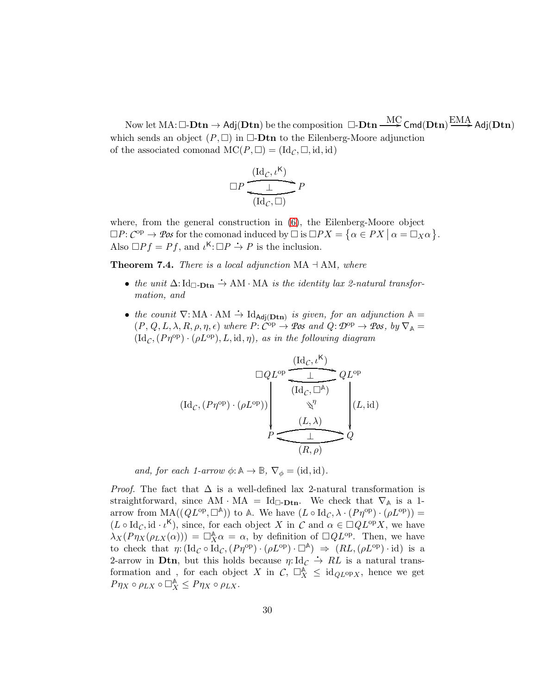Now let  $\mathrm{MA}\!:\!\Box\!\operatorname{-}\!\operatorname{\mathbf{Dtn}}\to \mathsf{Adj}(\mathbf{Dtn})$  be the composition  $\Box\!\operatorname{-}\!\operatorname{\mathbf{Dtn}}\xrightarrow{\text{MC}} \mathsf{Cmd}(\mathbf{Dtn})\xrightarrow{\text{EMA}} \mathsf{Adj}(\mathbf{Dtn})$ which sends an object  $(P, \Box)$  in  $\Box$ **Dtn** to the Eilenberg-Moore adjunction of the associated comonad  $MC(P, \Box) = (Id_C, \Box, id, id)$ 

$$
\Box P \frac{\xrightarrow{\text{(Id}_C, \iota^{\mathsf{K}})}}{\xrightarrow{\bot}} P
$$

where, from the general construction in [\(6\)](#page-8-2), the Eilenberg-Moore object  $\Box P: C^{op} \to \mathcal{P}$ *os* for the comonad induced by  $\Box$  is  $\Box PX = \{ \alpha \in PX \mid \alpha = \Box_X \alpha \}.$ Also  $\Box Pf = Pf$ , and  $\iota^{\mathbf{K}} : \Box P \rightarrow P$  is the inclusion.

Theorem 7.4. *There is a local adjunction* MA ⊣ AM*, where*

- *the unit*  $\Delta$ : Id<sub>□</sub>-Dtn  $\rightarrow$  AM · MA *is the identity lax 2-natural transformation, and*
- *the counit*  $\nabla$ : MA · AM  $\div$  Id<sub>Adj</sub><sub>(Dtn)</sub> *is given, for an adjunction*  $\mathbb{A}$  =  $(P, Q, L, \lambda, R, \rho, \eta, \epsilon)$  *where*  $P: \tilde{C}^{\text{op}} \to \mathcal{P}$ *os and*  $Q: \mathcal{D}^{\text{op}} \to \mathcal{P}$ *os, by*  $\nabla_{\mathbb{A}} =$  $(\mathrm{Id}_{\mathcal{C}},(P\eta^{\mathrm{op}})\cdot(\rho L^{\mathrm{op}}),L,\mathrm{id},\eta),$  as in the following diagram

$$
(\mathrm{Id}_{\mathcal{C}}, (P\eta^{\mathrm{op}}) \cdot (\rho L^{\mathrm{op}})) \longrightarrow \begin{pmatrix} (\mathrm{Id}_{\mathcal{C}}, \iota^{\mathrm{K}}) & & & \\ \hline & \downarrow & & QL^{\mathrm{op}} \\ (\mathrm{Id}_{\mathcal{C}}, \Box^{\mathbb{A}}) & & & \\ & \sqrt[n]{\eta} & & \\ & & \downarrow & \\ & & \downarrow & \\ P & \downarrow & & Q \end{pmatrix} (L, \mathrm{id})
$$

*and, for each 1-arrow*  $\phi: \mathbb{A} \to \mathbb{B}$ ,  $\nabla_{\phi} = (\text{id}, \text{id})$ *.* 

*Proof.* The fact that  $\Delta$  is a well-defined lax 2-natural transformation is straightforward, since AM · MA = Id<sub> $\Box$ -Dtn</sub>. We check that  $\nabla_{\mathbb{A}}$  is a 1arrow from  $MA((QL^{op}, \Box^{\mathbb{A}}))$  to  $\mathbb{A}$ . We have  $(L \circ \mathrm{Id}_{\mathcal{C}}, \lambda \cdot (P\eta^{op}) \cdot (\rho L^{op})) =$  $(L \circ \mathrm{Id}_C, \mathrm{id} \cdot \iota^{\mathsf{K}})$ , since, for each object X in  $C$  and  $\alpha \in \Box QL^{\mathrm{op}}X$ , we have  $\lambda_X(P\eta_X(\rho_{LX}(\alpha))) = \Box_X^{\mathbb{A}} \alpha = \alpha$ , by definition of  $\Box QL^{\text{op}}$ . Then, we have to check that  $\eta: (\mathrm{Id}_\mathcal{C} \circ \mathrm{Id}_\mathcal{C}, (P\eta^{\mathrm{op}}) \cdot (\rho L^{\mathrm{op}}) \cdot \square^{\mathbb{A}}) \Rightarrow (RL, (\rho L^{\mathrm{op}}) \cdot \mathrm{id})$  is a 2-arrow in Dtn, but this holds because  $\eta: \mathrm{Id}_\mathcal{C} \overset{\sim}{\to} RL$  is a natural transformation and, for each object X in  $\mathcal{C}$ ,  $\Box_X^{\mathbb{A}} \leq \mathrm{id}_{QL^{\mathrm{op}}X}$ , hence we get  $P\eta_X \circ \rho_{LX} \circ \Box_X^{\mathbb{A}} \leq P\eta_X \circ \rho_{LX}.$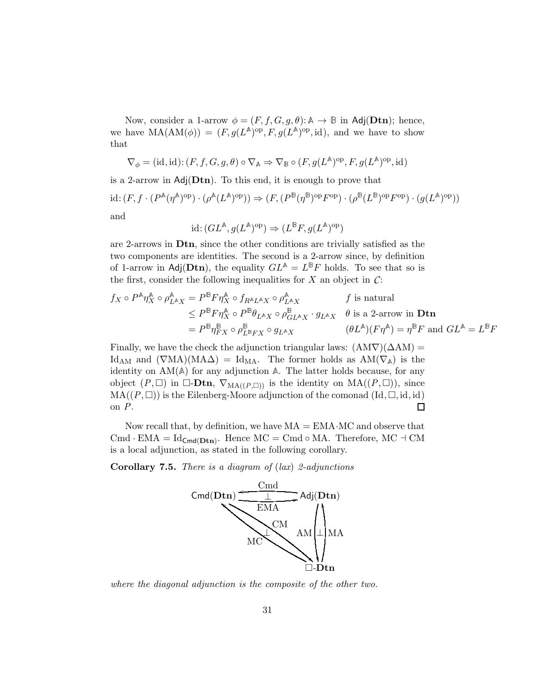Now, consider a 1-arrow  $\phi = (F, f, G, g, \theta) : \mathbb{A} \to \mathbb{B}$  in Adj(Dtn); hence, we have  $MA(AM(\phi)) = (F, g(L^{\mathbb{A}})^{op}, F, g(L^{\mathbb{A}})^{op}, id)$ , and we have to show that

$$
\nabla_{\phi}=(\mathrm{id},\mathrm{id})\mathpunct{:}(F,f,G,g,\theta)\circ \nabla_{\mathbb{A}}\Rightarrow \nabla_{\mathbb{B}}\circ (F,g(L^{\mathbb{A}})^{\mathrm{op}},F,g(L^{\mathbb{A}})^{\mathrm{op}},\mathrm{id})
$$

is a 2-arrow in  $Adj(Dtn)$ . To this end, it is enough to prove that  $\mathrm{id}: (F, f \cdot (P^{\mathbb{A}}(\eta^{\mathbb{A}})^{\mathrm{op}}) \cdot (\rho^{\mathbb{A}}(L^{\mathbb{A}})^{\mathrm{op}})) \Rightarrow (F, (P^{\mathbb{B}}(\eta^{\mathbb{B}})^{\mathrm{op}} F^{\mathrm{op}}) \cdot (\rho^{\mathbb{B}}(L^{\mathbb{B}})^{\mathrm{op}} F^{\mathrm{op}}) \cdot (g(L^{\mathbb{A}})^{\mathrm{op}}))$ and

$$
id: (GL^{\mathbb{A}}, g(L^{\mathbb{A}})^{op}) \Rightarrow (L^{\mathbb{B}}F, g(L^{\mathbb{A}})^{op})
$$

are 2-arrows in Dtn, since the other conditions are trivially satisfied as the two components are identities. The second is a 2-arrow since, by definition of 1-arrow in Adj( $Dtn$ ), the equality  $GL^{\mathbb{A}} = L^{\mathbb{B}}F$  holds. To see that so is the first, consider the following inequalities for  $X$  an object in  $C$ :

$$
f_X \circ P^{\mathbb{A}} \eta_X^{\mathbb{A}} \circ \rho_{L^{\mathbb{A}}X}^{\mathbb{A}} = P^{\mathbb{B}} F \eta_X^{\mathbb{A}} \circ f_{R^{\mathbb{A}}L^{\mathbb{A}}X} \circ \rho_{L^{\mathbb{A}}X}^{\mathbb{A}} \qquad f \text{ is natural}
$$
  
\n
$$
\leq P^{\mathbb{B}} F \eta_X^{\mathbb{A}} \circ P^{\mathbb{B}} \theta_{L^{\mathbb{A}}X} \circ \rho_{GL^{\mathbb{A}}X}^{\mathbb{B}} \cdot g_{L^{\mathbb{A}}X} \cdot g_{L^{\mathbb{A}}X} \qquad \theta \text{ is a 2-arrow in } \mathbf{Dtn}
$$
  
\n
$$
= P^{\mathbb{B}} \eta_{FX}^{\mathbb{B}} \circ \rho_{L^{\mathbb{B}}FX}^{\mathbb{B}} \circ g_{L^{\mathbb{A}}X} \qquad (\theta L^{\mathbb{A}})(F \eta^{\mathbb{A}}) = \eta^{\mathbb{B}} F \text{ and } GL^{\mathbb{A}} = L^{\mathbb{B}} F
$$

Finally, we have the check the adjunction triangular laws:  $(AM\nabla)(\Delta AM)$  = Id<sub>AM</sub> and  $(\nabla MA)(MA\Delta) = Id_{MA}$ . The former holds as  $AM(\nabla_A)$  is the identity on AM(**A**) for any adjunction **A**. The latter holds because, for any object  $(P, \Box)$  in  $\Box$ -**Dtn**,  $\nabla_{\text{MA}((P,\Box))}$  is the identity on  $\text{MA}((P,\Box))$ , since  $MA((P, \Box))$  is the Eilenberg-Moore adjunction of the comonad  $(\mathrm{Id}, \Box, \mathrm{id}, \mathrm{id})$ on *P*.  $\Box$ 

Now recall that, by definition, we have  $MA = EMA \cdot MC$  and observe that Cmd · EMA =  $\text{Id}_{\text{Cmd}(\text{Dtn})}$ . Hence MC = Cmd ∘ MA. Therefore, MC  $\exists$  CM is a local adjunction, as stated in the following corollary.

Corollary 7.5. *There is a diagram of* (*lax*) *2-adjunctions*



*where the diagonal adjunction is the composite of the other two.*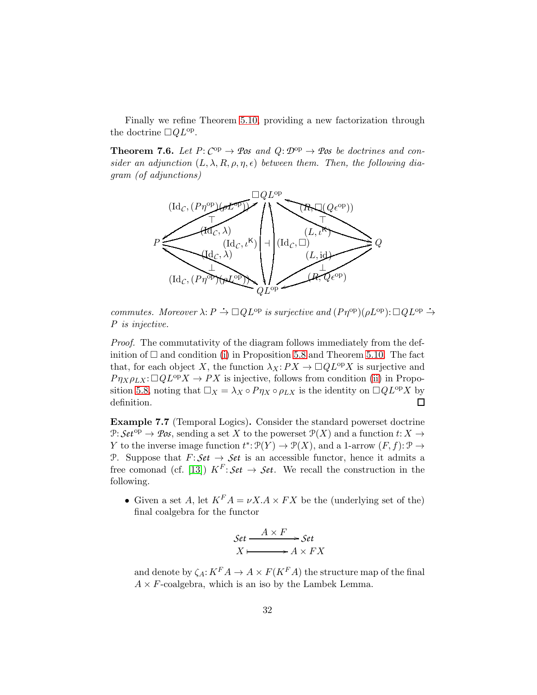Finally we refine Theorem [5.10,](#page-17-2) providing a new factorization through the doctrine  $\Box QL^{\text{op}}$ .

**Theorem 7.6.** Let  $P: C^{op} \to \mathcal{P}$ os and  $Q: \mathcal{D}^{op} \to \mathcal{P}$ os be doctrines and con*sider an adjunction*  $(L, \lambda, R, \rho, \eta, \epsilon)$  *between them. Then, the following diagram (of adjunctions)*



*commutes. Moreover*  $\lambda$ :  $P \to \Box Q L^{\text{op}}$  *is surjective and*  $(P\eta^{\text{op}})(\rho L^{\text{op}})$ :  $\Box Q L^{\text{op}} \to$ *P is injective.*

*Proof.* The commutativity of the diagram follows immediately from the definition of  $\Box$  and condition [\(i\)](#page-15-0) in Proposition [5.8](#page-15-1) and Theorem [5.10.](#page-17-2) The fact that, for each object X, the function  $\lambda_X:PX\to \Box QL^{\text{op}}X$  is surjective and  $P\eta_X \rho_{LX} : \Box Q L^{\text{op}} X \to PX$  is injective, follows from condition [\(ii\)](#page-16-1) in Propo-sition [5.8,](#page-15-1) noting that  $\Box_X = \lambda_X \circ P \eta_X \circ \rho_{LX}$  is the identity on  $\Box Q L^{\text{op}} X$  by definition.  $\Box$ 

Example 7.7 (Temporal Logics). Consider the standard powerset doctrine P:  $Set^{op} \to \mathcal{Pos}$ , sending a set X to the powerset  $\mathcal{P}(X)$  and a function  $t: X \to$ Y to the inverse image function  $t^* \colon \mathcal{P}(Y) \to \mathcal{P}(X)$ , and a 1-arrow  $(F, f) \colon \mathcal{P} \to$ P. Suppose that  $F: Set \to Set$  is an accessible functor, hence it admits a free comonad (cf. [\[13\]](#page-36-9))  $K^F$ :  $\mathcal{S}et \rightarrow \mathcal{S}et$ . We recall the construction in the following.

• Given a set A, let  $K^F A = \nu X.A \times FX$  be the (underlying set of the) final coalgebra for the functor

Set 
$$
\xrightarrow{A \times F}
$$
 Set  
 $X \longmapsto A \times FX$ 

and denote by  $\zeta_A: K^F A \to A \times F(K^F A)$  the structure map of the final  $A \times F$ -coalgebra, which is an iso by the Lambek Lemma.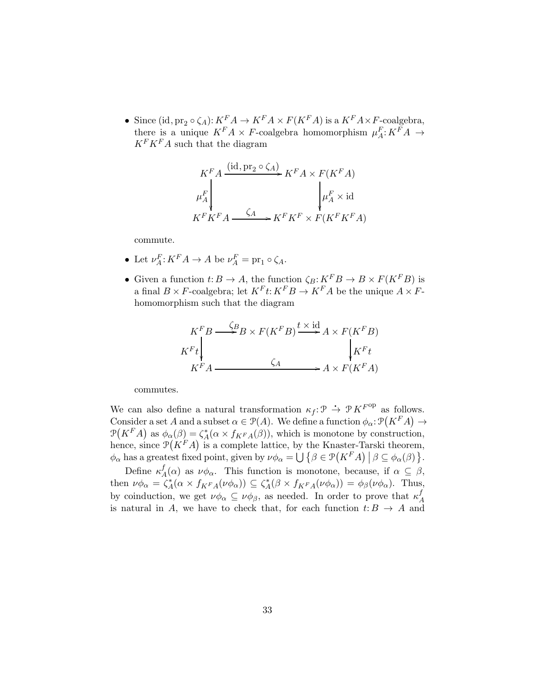• Since (id,  $\text{pr}_2 \circ \zeta_A$ ):  $K^F A \to K^F A \times F(K^F A)$  is a  $K^F A \times F$ -coalgebra, there is a unique  $K^F A \times F$ -coalgebra homomorphism  $\mu_A^F: K^F A \to$  $K^F K^F A$  such that the diagram

$$
K^F A \xrightarrow{\text{(id, pr}_2 \circ \zeta_A)} K^F A \times F(K^F A)
$$
  
\n
$$
\mu_A^F \downarrow \qquad \qquad \downarrow \mu_A^F \times \text{id}
$$
  
\n
$$
K^F K^F A \xrightarrow{\zeta_A} K^F K^F \times F(K^F K^F A)
$$

commute.

- Let  $\nu_A^F: K^F A \to A$  be  $\nu_A^F = \text{pr}_1 \circ \zeta_A$ .
- Given a function  $t: B \to A$ , the function  $\zeta_B: K^F B \to B \times F(K^F B)$  is a final  $B \times F$ -coalgebra; let  $K^F t: K^F B \to K^F A$  be the unique  $A \times F$ homomorphism such that the diagram

$$
K^{F}B \xrightarrow{\zeta_{B}} B \times F(K^{F}B) \xrightarrow{t \times id} A \times F(K^{F}B)
$$
  

$$
K^{F}t \downarrow \qquad \qquad \zeta_{A} \qquad \qquad A \times F(K^{F}A)
$$

commutes.

We can also define a natural transformation  $\kappa_f : \mathcal{P} \to \mathcal{P} K^{F^{\text{op}}}$  as follows. Consider a set A and a subset  $\alpha \in \mathcal{P}(A)$ . We define a function  $\phi_{\alpha} \colon \mathcal{P}(K^F A) \to$  $\mathcal{P}(K^F A)$  as  $\phi_\alpha(\beta) = \zeta_A^*$  $A^*(\alpha \times f_{KFA}(\beta))$ , which is monotone by construction, hence, since  $\mathcal{P}(K^F A)$  is a complete lattice, by the Knaster-Tarski theorem,  $\phi_{\alpha}$  has a greatest fixed point, given by  $\nu \phi_{\alpha} = \bigcup \{ \beta \in \mathcal{P}(K^F A) \mid \beta \subseteq \phi_{\alpha}(\beta) \}.$ 

Define  $\kappa^f_{\neq}$  $\mathcal{A}_{A}^{I}(\alpha)$  as  $\nu\phi_{\alpha}$ . This function is monotone, because, if  $\alpha \subseteq \beta$ , then  $\nu \phi_\alpha = \overline{\zeta^*_A}$  $A^*(\alpha \times f_{KFA}(\nu \phi_\alpha)) \subseteq \zeta_A^*$  ${}_{A}^{*}(\beta \times f_{KFA}(\nu \phi_{\alpha})) = \phi_{\beta}(\nu \phi_{\alpha}).$  Thus, by coinduction, we get  $\nu \phi_\alpha \subseteq \nu \phi_\beta$ , as needed. In order to prove that  $\kappa_\beta^f$ A is natural in A, we have to check that, for each function  $t: B \to A$  and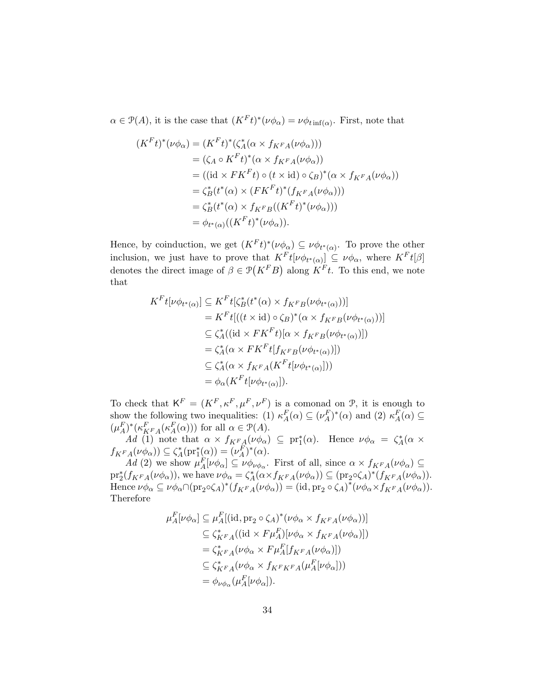$\alpha \in \mathcal{P}(A)$ , it is the case that  $(K^F t)^*(\nu \phi_\alpha) = \nu \phi_{t \inf(\alpha)}$ . First, note that

$$
(K^F t)^* (\nu \phi_\alpha) = (K^F t)^* (\zeta_A^* (\alpha \times f_{K^F A} (\nu \phi_\alpha)))
$$
  
\n
$$
= (\zeta_A \circ K^F t)^* (\alpha \times f_{K^F A} (\nu \phi_\alpha))
$$
  
\n
$$
= ((id \times F K^F t) \circ (t \times id) \circ \zeta_B)^* (\alpha \times f_{K^F A} (\nu \phi_\alpha))
$$
  
\n
$$
= \zeta_B^* (t^* (\alpha) \times (F K^F t)^* (f_{K^F A} (\nu \phi_\alpha)))
$$
  
\n
$$
= \zeta_B^* (t^* (\alpha) \times f_{K^F B} ((K^F t)^* (\nu \phi_\alpha)))
$$
  
\n
$$
= \phi_{t^* (\alpha)} ((K^F t)^* (\nu \phi_\alpha)).
$$

Hence, by coinduction, we get  $(K^F t)^*(\nu \phi_\alpha) \subseteq \nu \phi_{t^*(\alpha)}$ . To prove the other inclusion, we just have to prove that  $K^F \mathcal{t}[\nu \phi_{t^*(\alpha)}] \subseteq \nu \phi_\alpha$ , where  $K^F \mathcal{t}[\beta]$ denotes the direct image of  $\beta \in \mathcal{P}(K^F B)$  along  $K^F t$ . To this end, we note that

$$
K^F t[\nu \phi_{t^*(\alpha)}] \subseteq K^F t[\zeta_B^*(t^*(\alpha) \times f_{K^F B}(\nu \phi_{t^*(\alpha)}))]
$$
  
\n
$$
= K^F t[((t \times id) \circ \zeta_B)^*(\alpha \times f_{K^F B}(\nu \phi_{t^*(\alpha)}))]
$$
  
\n
$$
\subseteq \zeta_A^*((id \times F K^F t)[\alpha \times f_{K^F B}(\nu \phi_{t^*(\alpha)})])
$$
  
\n
$$
= \zeta_A^*(\alpha \times F K^F t[f_{K^F B}(\nu \phi_{t^*(\alpha)})])
$$
  
\n
$$
\subseteq \zeta_A^*(\alpha \times f_{K^F A}(K^F t[\nu \phi_{t^*(\alpha)}]))
$$
  
\n
$$
= \phi_\alpha(K^F t[\nu \phi_{t^*(\alpha)}]).
$$

To check that  $K^F = (K^F, \kappa^F, \mu^F, \nu^F)$  is a comonad on  $\mathcal{P}$ , it is enough to show the following two inequalities: (1)  $\kappa_A^F(\alpha) \subseteq (\nu_A^F)^*(\alpha)$  and (2)  $\kappa_A^F(\alpha) \subseteq$  $A^{(\alpha)} \cong (\nu_A)$  (a) and (2)  $\kappa_A$  $(\mu_A^F)^*(\kappa_{K^F A}^F(\kappa_A^F(\alpha)))$  for all  $\alpha \in \mathcal{P}(A)$ .

*Ad* (1) note that  $\alpha \times f_{K^F,A}(\nu \phi_\alpha) \subseteq pr_1^*(\alpha)$ . Hence  $\nu \phi_\alpha = \zeta_A^*$  $A^*(\alpha \times$  $f_{KFA}(\nu \phi_\alpha)) \subseteq \zeta_A^*$  $A^*(\text{pr}_1^*(\alpha)) = (\nu_A^F)^*(\alpha).$ 

*Ad* (2) we show  $\mu_A^F[\nu \phi_\alpha] \subseteq \nu \phi_{\nu \phi_\alpha}$ . First of all, since  $\alpha \times f_{K^F A}(\nu \phi_\alpha) \subseteq$  $\mathrm{pr}_2^*(f_{K^F A}(\nu \phi_\alpha)),$  we have  $\nu \phi_\alpha = \zeta_A^*$  ${}_{A}^{*}(\alpha \times f_{KFA}(\nu \phi_{\alpha})) \subseteq (\text{pr}_{2} \circ \zeta_{A})^{*}(f_{KFA}(\nu \phi_{\alpha})).$ Hence  $\nu \phi_{\alpha} \subseteq \nu \phi_{\alpha} \cap (\text{pr}_2 \circ \zeta_A)^* (f_{KFA}(\nu \phi_{\alpha})) = (\text{id}, \text{pr}_2 \circ \zeta_A)^* (\nu \phi_{\alpha} \times f_{KFA}(\nu \phi_{\alpha}))$ . Therefore

$$
\mu_A^F[\nu\phi_\alpha] \subseteq \mu_A^F[(\mathrm{id}, \mathrm{pr}_2 \circ \zeta_A)^*(\nu\phi_\alpha \times f_{K^F A}(\nu\phi_\alpha))]
$$
  
\n
$$
\subseteq \zeta_{K^F A}^*((\mathrm{id} \times F\mu_A^F)[\nu\phi_\alpha \times f_{K^F A}(\nu\phi_\alpha)])
$$
  
\n
$$
= \zeta_{K^F A}^*(\nu\phi_\alpha \times F\mu_A^F[f_{K^F A}(\nu\phi_\alpha)])
$$
  
\n
$$
\subseteq \zeta_{K^F A}^*(\nu\phi_\alpha \times f_{K^F K^F A}(\mu_A^F[\nu\phi_\alpha]))
$$
  
\n
$$
= \phi_{\nu\phi_\alpha}(\mu_A^F[\nu\phi_\alpha]).
$$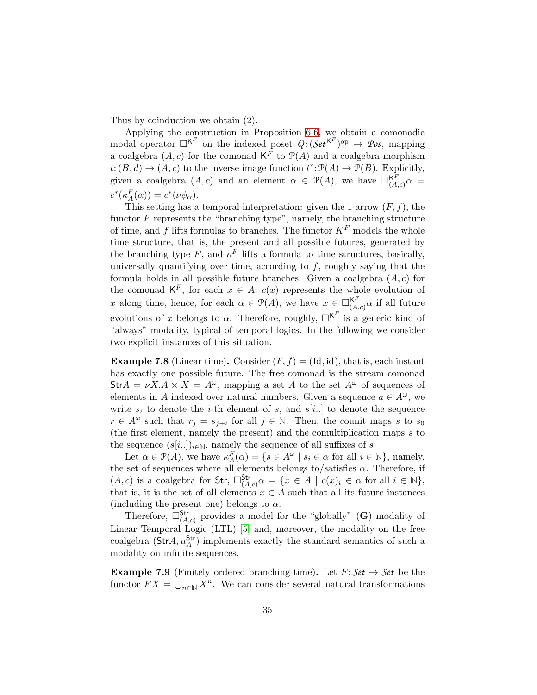Thus by coinduction we obtain (2).

Applying the construction in Proposition [6.6,](#page-26-0) we obtain a comonadic modal operator  $\Box^{K^F}$  on the indexed poset  $Q: (Set^{K^F})^{op} \rightarrow \mathcal{P}os$ , mapping a coalgebra  $(A, c)$  for the comonad  $\mathsf{K}^F$  to  $\mathcal{P}(A)$  and a coalgebra morphism  $t: (B, d) \to (A, c)$  to the inverse image function  $t^*: \mathcal{P}(A) \to \mathcal{P}(B)$ . Explicitly, given a coalgebra  $(A, c)$  and an element  $\alpha \in \mathcal{P}(A)$ , we have  $\Box_{(A, c)}^{K \overline{F}} \alpha =$  $c^*(\kappa_A^F(\alpha)) = c^*(\nu \phi_\alpha).$ 

This setting has a temporal interpretation: given the 1-arrow  $(F, f)$ , the functor  $F$  represents the "branching type", namely, the branching structure of time, and f lifts formulas to branches. The functor  $K^F$  models the whole time structure, that is, the present and all possible futures, generated by the branching type F, and  $\kappa^F$  lifts a formula to time structures, basically, universally quantifying over time, according to  $f$ , roughly saying that the formula holds in all possible future branches. Given a coalgebra  $(A, c)$  for the comonad  $K^F$ , for each  $x \in A$ ,  $c(x)$  represents the whole evolution of x along time, hence, for each  $\alpha \in \mathcal{P}(A)$ , we have  $x \in \Box_{(A,c)}^{\mathsf{K}^F} \alpha$  if all future evolutions of x belongs to  $\alpha$ . Therefore, roughly,  $\Box^{K^F}$  is a generic kind of "always" modality, typical of temporal logics. In the following we consider two explicit instances of this situation.

**Example 7.8** (Linear time). Consider  $(F, f) = (Id, id)$ , that is, each instant has exactly one possible future. The free comonad is the stream comonad  $\text{Str} A = \nu X.A \times X = A^{\omega}$ , mapping a set A to the set  $A^{\omega}$  of sequences of elements in A indexed over natural numbers. Given a sequence  $a \in A^{\omega}$ , we write  $s_i$  to denote the *i*-th element of s, and  $s[i...]$  to denote the sequence  $r \in A^{\omega}$  such that  $r_j = s_{j+i}$  for all  $j \in \mathbb{N}$ . Then, the counit maps s to  $s_0$ (the first element, namely the present) and the comultiplication maps s to the sequence  $(s[i..])_{i\in\mathbb{N}}$ , namely the sequence of all suffixes of s.

Let  $\alpha \in \mathcal{P}(A)$ , we have  $\kappa_A^F(\alpha) = \{ s \in A^{\omega} \mid s_i \in \alpha \text{ for all } i \in \mathbb{N} \}$ , namely, the set of sequences where all elements belongs to/satisfies  $\alpha$ . Therefore, if  $(A, c)$  is a coalgebra for Str,  $\Box_{(A, c)}^{\mathsf{Str}} \alpha = \{x \in A \mid c(x)_i \in \alpha \text{ for all } i \in \mathbb{N}\},\$ that is, it is the set of all elements  $x \in A$  such that all its future instances (including the present one) belongs to  $\alpha$ .

Therefore,  $\square^{\mathsf{Str}}_{(A,c)}$  provides a model for the "globally" (G) modality of Linear Temporal Logic (LTL) [\[5\]](#page-36-10) and, moreover, the modality on the free coalgebra  $(\text{Str}A, \mu_A^{\text{Str}})$  implements exactly the standard semantics of such a modality on infinite sequences.

**Example 7.9** (Finitely ordered branching time). Let  $F: Set \rightarrow Set$  be the functor  $FX = \bigcup_{n \in \mathbb{N}} X^n$ . We can consider several natural transformations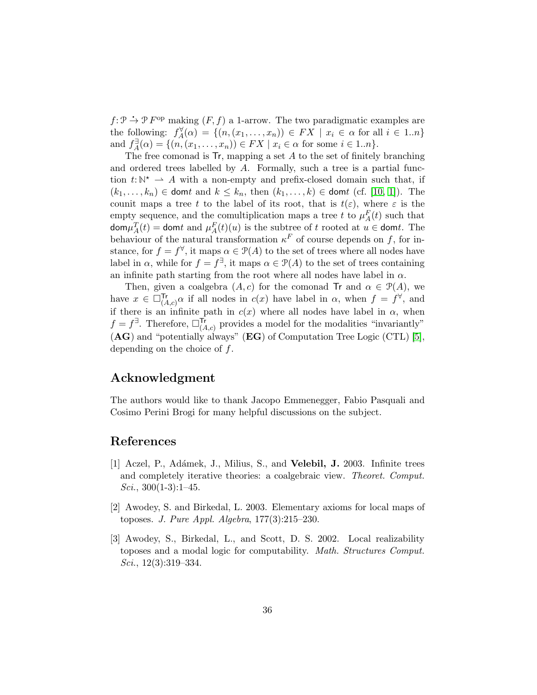$f: \mathcal{P} \to \mathcal{P} F$ <sup>op</sup> making  $(F, f)$  a 1-arrow. The two paradigmatic examples are the following:  $f_A^{\forall}$  $A_A^{\forall}(\alpha) = \{(n, (x_1, \ldots, x_n)) \in FX \mid x_i \in \alpha \text{ for all } i \in 1..n\}$ and  $f_A^{\exists}$  $A_{\{A}}^{\exists}(\alpha) = \{ (n, (x_1, \ldots, x_n)) \in FX \mid x_i \in \alpha \text{ for some } i \in 1..n \}.$ 

The free comonad is  $\mathsf{Tr}$ , mapping a set  $A$  to the set of finitely branching and ordered trees labelled by A. Formally, such a tree is a partial function  $t: \mathbb{N}^* \to A$  with a non-empty and prefix-closed domain such that, if  $(k_1,\ldots,k_n) \in$  domt and  $k \leq k_n$ , then  $(k_1,\ldots,k) \in$  domt (cf. [\[10,](#page-36-11) [1\]](#page-35-2)). The counit maps a tree t to the label of its root, that is  $t(\varepsilon)$ , where  $\varepsilon$  is the empty sequence, and the comultiplication maps a tree t to  $\mu_A^F(t)$  such that  $\textsf{dom}\mu_A^T(t)=\textsf{dom} t$  and  $\mu_A^F(t)(u)$  is the subtree of t rooted at  $u \in \textsf{dom} t$ . The behaviour of the natural transformation  $\kappa^F$  of course depends on f, for instance, for  $f = f^{\forall}$ , it maps  $\alpha \in \mathcal{P}(A)$  to the set of trees where all nodes have label in  $\alpha$ , while for  $f = f^{\exists}$ , it maps  $\alpha \in \mathcal{P}(A)$  to the set of trees containing an infinite path starting from the root where all nodes have label in  $\alpha$ .

Then, given a coalgebra  $(A, c)$  for the comonad Tr and  $\alpha \in \mathcal{P}(A)$ , we have  $x \in \Box_{(A,c)}^{\mathsf{Tr}} \alpha$  if all nodes in  $c(x)$  have label in  $\alpha$ , when  $f = f^{\forall}$ , and if there is an infinite path in  $c(x)$  where all nodes have label in  $\alpha$ , when  $f = f^{\exists}$ . Therefore,  $\square^{\mathsf{Tr}}_{(A,c)}$  provides a model for the modalities "invariantly" (AG) and "potentially always" (EG) of Computation Tree Logic (CTL) [\[5\]](#page-36-10), depending on the choice of f.

## Acknowledgment

The authors would like to thank Jacopo Emmenegger, Fabio Pasquali and Cosimo Perini Brogi for many helpful discussions on the subject.

### <span id="page-35-2"></span>References

- [1] Aczel, P., Adámek, J., Milius, S., and Velebil, J. 2003. Infinite trees and completely iterative theories: a coalgebraic view. *Theoret. Comput. Sci.*, 300(1-3):1–45.
- <span id="page-35-1"></span>[2] Awodey, S. and Birkedal, L. 2003. Elementary axioms for local maps of toposes. *J. Pure Appl. Algebra*, 177(3):215–230.
- <span id="page-35-0"></span>[3] Awodey, S., Birkedal, L., and Scott, D. S. 2002. Local realizability toposes and a modal logic for computability. *Math. Structures Comput. Sci.*, 12(3):319–334.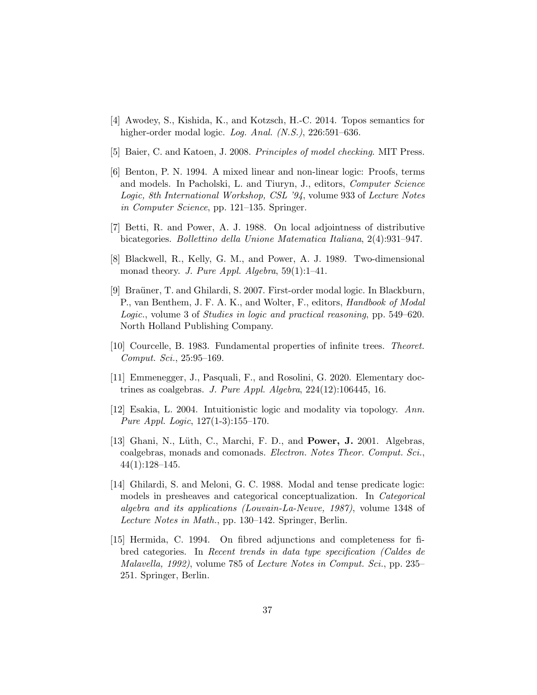- <span id="page-36-10"></span><span id="page-36-3"></span>[4] Awodey, S., Kishida, K., and Kotzsch, H.-C. 2014. Topos semantics for higher-order modal logic. *Log. Anal. (N.S.)*, 226:591–636.
- <span id="page-36-7"></span>[5] Baier, C. and Katoen, J. 2008. *Principles of model checking*. MIT Press.
- [6] Benton, P. N. 1994. A mixed linear and non-linear logic: Proofs, terms and models. In Pacholski, L. and Tiuryn, J., editors, *Computer Science Logic, 8th International Workshop, CSL '94*, volume 933 of *Lecture Notes in Computer Science*, pp. 121–135. Springer.
- <span id="page-36-1"></span><span id="page-36-0"></span>[7] Betti, R. and Power, A. J. 1988. On local adjointness of distributive bicategories. *Bollettino della Unione Matematica Italiana*, 2(4):931–947.
- [8] Blackwell, R., Kelly, G. M., and Power, A. J. 1989. Two-dimensional monad theory. *J. Pure Appl. Algebra*, 59(1):1–41.
- <span id="page-36-4"></span>[9] Bra¨uner, T. and Ghilardi, S. 2007. First-order modal logic. In Blackburn, P., van Benthem, J. F. A. K., and Wolter, F., editors, *Handbook of Modal Logic.*, volume 3 of *Studies in logic and practical reasoning*, pp. 549–620. North Holland Publishing Company.
- <span id="page-36-11"></span><span id="page-36-8"></span>[10] Courcelle, B. 1983. Fundamental properties of infinite trees. *Theoret. Comput. Sci.*, 25:95–169.
- <span id="page-36-2"></span>[11] Emmenegger, J., Pasquali, F., and Rosolini, G. 2020. Elementary doctrines as coalgebras. *J. Pure Appl. Algebra*, 224(12):106445, 16.
- [12] Esakia, L. 2004. Intuitionistic logic and modality via topology. *Ann. Pure Appl. Logic*, 127(1-3):155–170.
- <span id="page-36-9"></span>[13] Ghani, N., Lüth, C., Marchi, F. D., and **Power, J.** 2001. Algebras, coalgebras, monads and comonads. *Electron. Notes Theor. Comput. Sci.*, 44(1):128–145.
- <span id="page-36-6"></span>[14] Ghilardi, S. and Meloni, G. C. 1988. Modal and tense predicate logic: models in presheaves and categorical conceptualization. In *Categorical algebra and its applications (Louvain-La-Neuve, 1987)*, volume 1348 of *Lecture Notes in Math.*, pp. 130–142. Springer, Berlin.
- <span id="page-36-5"></span>[15] Hermida, C. 1994. On fibred adjunctions and completeness for fibred categories. In *Recent trends in data type specification (Caldes de Malavella, 1992)*, volume 785 of *Lecture Notes in Comput. Sci.*, pp. 235– 251. Springer, Berlin.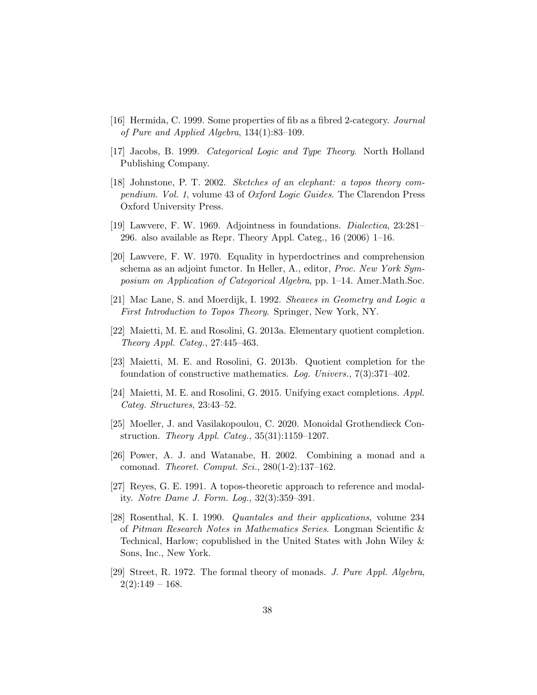- <span id="page-37-6"></span><span id="page-37-2"></span>[16] Hermida, C. 1999. Some properties of fib as a fibred 2-category. *Journal of Pure and Applied Algebra*, 134(1):83–109.
- <span id="page-37-13"></span>[17] Jacobs, B. 1999. *Categorical Logic and Type Theory*. North Holland Publishing Company.
- [18] Johnstone, P. T. 2002. *Sketches of an elephant: a topos theory compendium. Vol. 1*, volume 43 of *Oxford Logic Guides*. The Clarendon Press Oxford University Press.
- <span id="page-37-1"></span><span id="page-37-0"></span>[19] Lawvere, F. W. 1969. Adjointness in foundations. *Dialectica*, 23:281– 296. also available as Repr. Theory Appl. Categ., 16 (2006) 1–16.
- [20] Lawvere, F. W. 1970. Equality in hyperdoctrines and comprehension schema as an adjoint functor. In Heller, A., editor, *Proc. New York Symposium on Application of Categorical Algebra*, pp. 1–14. Amer.Math.Soc.
- <span id="page-37-12"></span><span id="page-37-3"></span>[21] Mac Lane, S. and Moerdijk, I. 1992. *Sheaves in Geometry and Logic a First Introduction to Topos Theory*. Springer, New York, NY.
- <span id="page-37-7"></span>[22] Maietti, M. E. and Rosolini, G. 2013a. Elementary quotient completion. *Theory Appl. Categ.*, 27:445–463.
- <span id="page-37-9"></span>[23] Maietti, M. E. and Rosolini, G. 2013b. Quotient completion for the foundation of constructive mathematics. *Log. Univers.*, 7(3):371–402.
- <span id="page-37-11"></span>[24] Maietti, M. E. and Rosolini, G. 2015. Unifying exact completions. *Appl. Categ. Structures*, 23:43–52.
- [25] Moeller, J. and Vasilakopoulou, C. 2020. Monoidal Grothendieck Construction. *Theory Appl. Categ.*, 35(31):1159–1207.
- <span id="page-37-5"></span>[26] Power, A. J. and Watanabe, H. 2002. Combining a monad and a comonad. *Theoret. Comput. Sci.*, 280(1-2):137–162.
- <span id="page-37-10"></span>[27] Reyes, G. E. 1991. A topos-theoretic approach to reference and modality. *Notre Dame J. Form. Log.*, 32(3):359–391.
- <span id="page-37-8"></span>[28] Rosenthal, K. I. 1990. *Quantales and their applications*, volume 234 of *Pitman Research Notes in Mathematics Series*. Longman Scientific & Technical, Harlow; copublished in the United States with John Wiley & Sons, Inc., New York.
- <span id="page-37-4"></span>[29] Street, R. 1972. The formal theory of monads. *J. Pure Appl. Algebra*,  $2(2):149-168.$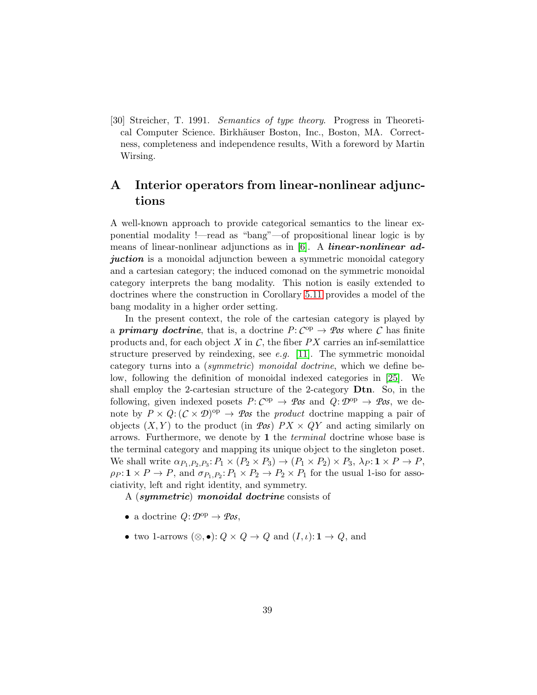<span id="page-38-1"></span>[30] Streicher, T. 1991. *Semantics of type theory*. Progress in Theoretical Computer Science. Birkhäuser Boston, Inc., Boston, MA. Correctness, completeness and independence results, With a foreword by Martin Wirsing.

# <span id="page-38-0"></span>A Interior operators from linear-nonlinear adjunctions

A well-known approach to provide categorical semantics to the linear exponential modality !—read as "bang"—of propositional linear logic is by means of linear-nonlinear adjunctions as in  $[6]$ . A *linear-nonlinear ad*juction is a monoidal adjunction beween a symmetric monoidal category and a cartesian category; the induced comonad on the symmetric monoidal category interprets the bang modality. This notion is easily extended to doctrines where the construction in Corollary [5.11](#page-18-1) provides a model of the bang modality in a higher order setting.

In the present context, the role of the cartesian category is played by a **primary doctrine**, that is, a doctrine  $P: C^{op} \to \mathcal{P}\mathit{os}$  where  $C$  has finite products and, for each object  $X$  in  $C$ , the fiber  $PX$  carries an inf-semilattice structure preserved by reindexing, see *e.g.* [\[11\]](#page-36-8). The symmetric monoidal category turns into a (*symmetric*) *monoidal doctrine*, which we define below, following the definition of monoidal indexed categories in [\[25\]](#page-37-11). We shall employ the 2-cartesian structure of the 2-category Dtn. So, in the following, given indexed posets  $P: C^{op} \to \mathcal{P}\mathit{os}$  and  $Q: \mathcal{D}^{op} \to \mathcal{P}\mathit{os}$ , we denote by  $P \times Q$ :  $(C \times D)^{op} \rightarrow Pos$  the *product* doctrine mapping a pair of objects  $(X, Y)$  to the product (in  $\mathcal{P}\text{o} s$ )  $PX \times QY$  and acting similarly on arrows. Furthermore, we denote by 1 the *terminal* doctrine whose base is the terminal category and mapping its unique object to the singleton poset. We shall write  $\alpha_{P_1,P_2,P_3}$ :  $P_1 \times (P_2 \times P_3) \rightarrow (P_1 \times P_2) \times P_3$ ,  $\lambda_P: \mathbf{1} \times P \rightarrow P$ ,  $\rho_P: \mathbf{1} \times P \to P$ , and  $\sigma_{P_1,P_2}: P_1 \times P_2 \to P_2 \times P_1$  for the usual 1-iso for associativity, left and right identity, and symmetry.

A (symmetric) monoidal doctrine consists of

- a doctrine  $Q: \mathcal{D}^{\text{op}} \to \mathcal{P}os$ ,
- two 1-arrows  $(\otimes, \bullet): Q \times Q \to Q$  and  $(I, \iota): \mathbf{1} \to Q$ , and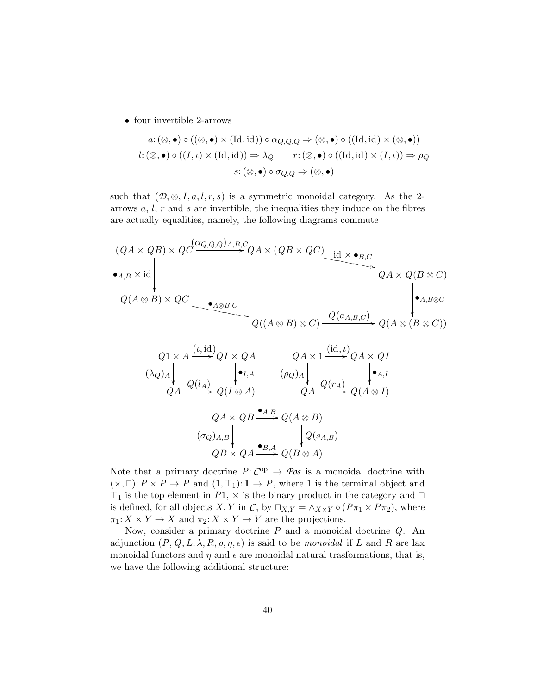• four invertible 2-arrows

$$
a: (\otimes, \bullet) \circ ((\otimes, \bullet) \times (\text{Id}, \text{id})) \circ \alpha_{Q,Q,Q} \Rightarrow (\otimes, \bullet) \circ ((\text{Id}, \text{id}) \times (\otimes, \bullet))
$$
  

$$
l: (\otimes, \bullet) \circ ((I, \iota) \times (\text{Id}, \text{id})) \Rightarrow \lambda_Q \qquad r: (\otimes, \bullet) \circ ((\text{Id}, \text{id}) \times (I, \iota)) \Rightarrow \rho_Q
$$
  

$$
s: (\otimes, \bullet) \circ \sigma_{Q,Q} \Rightarrow (\otimes, \bullet)
$$

such that  $(\mathcal{D}, \otimes, I, a, l, r, s)$  is a symmetric monoidal category. As the 2arrows  $a, l, r$  and  $s$  are invertible, the inequalities they induce on the fibres are actually equalities, namely, the following diagrams commute

$$
(QA \times QB) \times QC \xrightarrow{\bullet_{A,B} \times \text{id}} QA \times (QB \times QC) \xrightarrow{\text{id} \times \bullet_{B,C}} QA \times Q(B \otimes C)
$$
  

$$
Q(A \otimes B) \times QC \xrightarrow{\bullet_{A \otimes B,C}} Q((A \otimes B) \otimes C) \xrightarrow{\text{id} \times \bullet_{B,C}} Q(A \otimes (B \otimes C))
$$
  

$$
Q1 \times A \xrightarrow{(t, \text{id})} QI \times QA \xrightarrow{\text{id}, t} QA \times 1 \xrightarrow{(\text{id}, t)} QA \times QI
$$

$$
(\lambda_{Q})_{A} \downarrow Q(A \rightarrow Q(I_{A}) \qquad (\rho_{Q})_{A} \downarrow Q(\tau_{A})
$$
\n
$$
Q_{A} \xrightarrow{Q(I_{A})} Q(I \otimes A) \qquad Q_{A} \xrightarrow{Q(\tau_{A})} Q(A \otimes I)
$$
\n
$$
Q_{A} \times Q_{B} \xrightarrow{\bullet_{A,B}} Q(A \otimes B)
$$
\n
$$
(\sigma_{Q})_{A,B} \downarrow Q_{B} \xrightarrow{\bullet_{B,A}} Q(B \otimes A)
$$
\n
$$
(B \otimes A)
$$

Note that a primary doctrine  $P: C^{op} \to \mathcal{P}\text{os}$  is a monoidal doctrine with  $(\times, \sqcap)$ : *P* × *P* → *P* and  $(1, \top_1)$ : **1** → *P*, where 1 is the terminal object and  $\top_1$  is the top element in *P*1,  $\times$  is the binary product in the category and  $\Box$ is defined, for all objects X, Y in C, by  $\Box_{X,Y} = \land_{X\times Y} \circ (P\pi_1 \times P\pi_2)$ , where  $\pi_1: X \times Y \to X$  and  $\pi_2: X \times Y \to Y$  are the projections.

Now, consider a primary doctrine *P* and a monoidal doctrine *Q*. An adjunction  $(P, Q, L, \lambda, R, \rho, \eta, \epsilon)$  is said to be *monoidal* if L and R are lax monoidal functors and  $\eta$  and  $\epsilon$  are monoidal natural trasformations, that is, we have the following additional structure: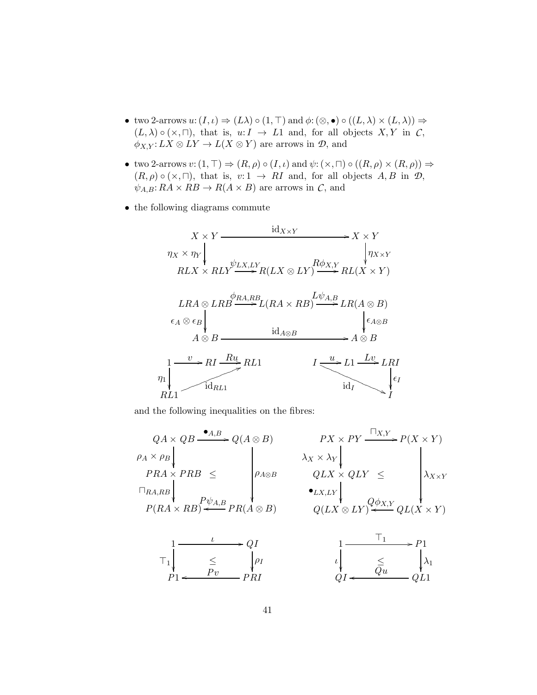- two 2-arrows  $u: (I, \iota) \Rightarrow (L\lambda) \circ (1, \top)$  and  $\phi: (\otimes, \bullet) \circ ((L, \lambda) \times (L, \lambda)) \Rightarrow$  $(L, \lambda) \circ (\times, \sqcap)$ , that is,  $u: I \to L1$  and, for all objects  $X, Y$  in  $\mathcal{C}$ ,  $\phi_{X,Y}: LX \otimes LY \to L(X \otimes Y)$  are arrows in  $\mathcal{D}$ , and
- two 2-arrows  $v: (1, \top) \Rightarrow (R, \rho) \circ (I, \iota)$  and  $\psi: (\times, \sqcap) \circ ((R, \rho) \times (R, \rho)) \Rightarrow$  $(R, \rho) \circ (\times, \sqcap)$ , that is,  $v: 1 \to RI$  and, for all objects  $A, B$  in  $\mathcal{D}$ ,  $\psi_{A,B}: RA \times RB \rightarrow R(A \times B)$  are arrows in *C*, and
- the following diagrams commute

$$
X \times Y \xrightarrow{\text{id}_{X \times Y}} X \times Y
$$
\n
$$
\eta_X \times \eta_Y
$$
\n
$$
RLX \times RLY \xrightarrow{\psi_{LX,LY}} R(LX \otimes LY) \xrightarrow{R\phi_{X,Y}} RL(X \times Y)
$$
\n
$$
LRA \otimes LRB \xrightarrow{\phi_{RA,RB}} L(RA \times RB) \xrightarrow{\text{id}_{A,B}} LR(A \otimes B)
$$
\n
$$
\epsilon_A \otimes \epsilon_B
$$
\n
$$
A \otimes B \xrightarrow{\text{id}_{A \otimes B}} \text{id}_{A \otimes B} \xrightarrow{\text{id}_{A \otimes B}} A \otimes B
$$
\n
$$
\eta_1
$$
\n
$$
\eta_2
$$
\n
$$
\eta_3
$$
\n
$$
\eta_4
$$
\n
$$
\eta_5
$$
\n
$$
\eta_6
$$
\n
$$
\eta_7
$$
\n
$$
\eta_8
$$
\n
$$
\eta_7
$$
\n
$$
\eta_8
$$
\n
$$
\eta_7
$$
\n
$$
\eta_8
$$
\n
$$
\eta_9
$$
\n
$$
\eta_9
$$
\n
$$
\eta_9
$$
\n
$$
\eta_8
$$
\n
$$
\eta_9
$$
\n
$$
\eta_9
$$
\n
$$
\eta_9
$$
\n
$$
\eta_9
$$
\n
$$
\eta_9
$$
\n
$$
\eta_9
$$
\n
$$
\eta_9
$$
\n
$$
\eta_9
$$
\n
$$
\eta_8
$$
\n
$$
\eta_9
$$
\n
$$
\eta_9
$$
\n
$$
\eta_9
$$
\n
$$
\eta_9
$$
\n
$$
\eta_9
$$
\n
$$
\eta_9
$$
\n
$$
\eta_9
$$
\n
$$
\eta_9
$$
\n
$$
\eta_9
$$
\n
$$
\eta_9
$$
\n
$$
\eta_9
$$
\n
$$
\eta_9
$$
\n
$$
\eta_9
$$
\n
$$
\eta_9
$$
\n
$$
\eta_9
$$
\n
$$
\eta_9
$$
\n
$$
\eta_9
$$

and the following inequalities on the fibres:

$$
QA \times QB \xrightarrow{\bullet A,B} Q(A \otimes B) \qquad PX \times PY \xrightarrow{\Box_{X,Y}} P(X \times Y)
$$
\n
$$
\rho_A \times \rho_B \downarrow \qquad \qquad \lambda_X \times \lambda_Y \downarrow \qquad \qquad \lambda_{X \times Y} \downarrow \qquad \qquad \lambda_{X \times Y}
$$
\n
$$
\rho_{RA,RB} \downarrow \qquad \qquad \rho_{A \otimes B} \qquad QLX \times QLY \leq \qquad \qquad \lambda_{X \times Y}
$$
\n
$$
P(RA \times RB) \xleftarrow{\bullet LX, LY} Q\phi_{X,Y} \downarrow \qquad \qquad \lambda_{X \times Y}
$$
\n
$$
Q(LX \otimes LY) \xleftarrow{\bullet LX, LY} QL(X \times Y)
$$
\n
$$
\uparrow \qquad \qquad \downarrow \qquad \qquad \downarrow \qquad \qquad \downarrow \qquad \qquad \downarrow \qquad \qquad \downarrow \qquad \qquad \downarrow \qquad \qquad \downarrow \qquad \qquad \downarrow \qquad \qquad \downarrow \qquad \downarrow \qquad \downarrow \qquad \downarrow \qquad \downarrow \qquad \downarrow \qquad \downarrow \qquad \downarrow \qquad \downarrow \qquad \downarrow \qquad \downarrow \qquad \downarrow \qquad \downarrow \qquad \downarrow \qquad \downarrow \qquad \downarrow \qquad \downarrow \qquad \downarrow \qquad \downarrow \qquad \downarrow \qquad \downarrow \qquad \downarrow \qquad \downarrow \qquad \downarrow \qquad \downarrow \qquad \downarrow \qquad \downarrow \qquad \downarrow \qquad \downarrow \qquad \downarrow \qquad \downarrow \qquad \downarrow \qquad \downarrow \qquad \downarrow \qquad \downarrow \qquad \downarrow \qquad \downarrow \qquad \downarrow \qquad \downarrow \qquad \downarrow \qquad \downarrow \qquad \downarrow \qquad \downarrow \qquad \downarrow \qquad \downarrow \qquad \downarrow \qquad \downarrow \qquad \downarrow \qquad \downarrow \qquad \downarrow \qquad \downarrow \qquad \downarrow \qquad \downarrow \qquad \downarrow \qquad \downarrow \qquad \downarrow \qquad \downarrow \qquad \downarrow \qquad \downarrow \qquad \downarrow \qquad \downarrow \qquad \downarrow \qquad \downarrow \qquad \downarrow \qquad \downarrow \qquad \downarrow \qquad \downarrow \qquad \downarrow \qquad \downarrow \qquad \down
$$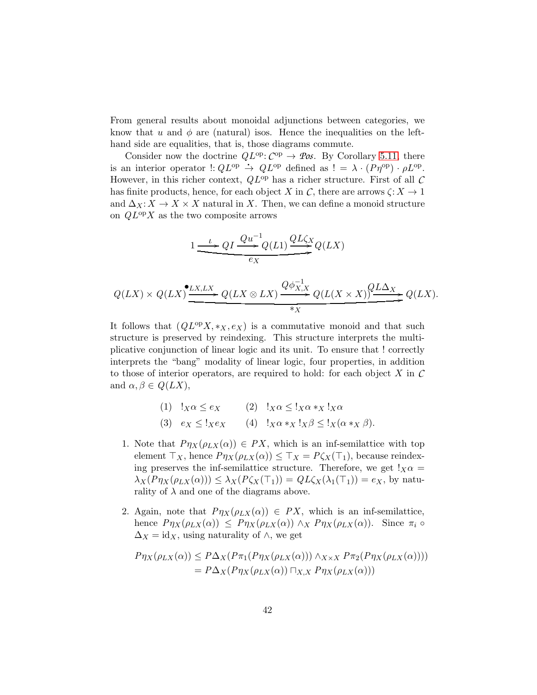From general results about monoidal adjunctions between categories, we know that u and  $\phi$  are (natural) isos. Hence the inequalities on the lefthand side are equalities, that is, those diagrams commute.

Consider now the doctrine  $QL^{op}$ :  $C^{op} \rightarrow \mathscr{Pos}$ . By Corollary [5.11,](#page-18-1) there is an interior operator  $\cdot : QL^{\text{op}} \to QL^{\text{op}}$  defined as  $! = \lambda \cdot (P\eta^{\text{op}}) \cdot \rho L^{\text{op}}$ . However, in this richer context, *Q*L op has a richer structure. First of all *C* has finite products, hence, for each object X in  $\mathcal{C}$ , there are arrows  $\zeta: X \to 1$ and  $\Delta_X: X \to X \times X$  natural in X. Then, we can define a monoid structure on *Q*L opX as the two composite arrows

$$
1 \xrightarrow{\iota} QI \xrightarrow{Qu^{-1}Q(L1)} \underbrace{QL\zeta_X}_{\mathcal{E}_X} Q(LX)
$$

$$
Q(LX) \times Q(LX) \xrightarrow{\bullet \ LX, LX} Q(LX \otimes LX) \xrightarrow{Q \phi_{X,X}^{-1}} Q(L(X \times X)) \xrightarrow{\bullet \ \mathbb{Z}} Q(LX).
$$

It follows that  $(QL^{\text{op}}X, *_X, e_X)$  is a commutative monoid and that such structure is preserved by reindexing. This structure interprets the multiplicative conjunction of linear logic and its unit. To ensure that ! correctly interprets the "bang" modality of linear logic, four properties, in addition to those of interior operators, are required to hold: for each object X in *C* and  $\alpha, \beta \in Q(LX)$ ,

| (1) $!_X\alpha \leq e_X$ | (2) $!_X\alpha \leq 1_X\alpha *_X 1_X\alpha$             |
|--------------------------|----------------------------------------------------------|
| (3) $e_X \leq 1_X e_X$   | (4) $!_X\alpha *_X !_X\beta \leq !_X(\alpha *_X \beta).$ |

- 1. Note that  $P\eta_X(\rho_{LX}(\alpha)) \in PX$ , which is an inf-semilattice with top element  $\top_X$ , hence  $P\eta_X(\rho_{LX}(\alpha)) \leq \top_X = P\zeta_X(\top_1)$ , because reindexing preserves the inf-semilattice structure. Therefore, we get  $!_X\alpha =$  $\lambda_X(P\eta_X(\rho_{LX}(\alpha))) \leq \lambda_X(P\zeta_X(\top_1)) = QL\zeta_X(\lambda_1(\top_1)) = e_X$ , by naturality of  $\lambda$  and one of the diagrams above.
- 2. Again, note that  $P\eta_X(\rho_{LX}(\alpha)) \in PX$ , which is an inf-semilattice, hence  $P\eta_X(\rho_{LX}(\alpha)) \leq P\eta_X(\rho_{LX}(\alpha)) \wedge_X P\eta_X(\rho_{LX}(\alpha))$ . Since  $\pi_i \circ$  $\Delta_X = id_X$ , using naturality of  $\wedge$ , we get

$$
P\eta_X(\rho_{LX}(\alpha)) \le P\Delta_X(P\pi_1(P\eta_X(\rho_{LX}(\alpha))) \wedge_{X \times X} P\pi_2(P\eta_X(\rho_{LX}(\alpha))))
$$
  
=  $P\Delta_X(P\eta_X(\rho_{LX}(\alpha)) \cap_{X,X} P\eta_X(\rho_{LX}(\alpha)))$